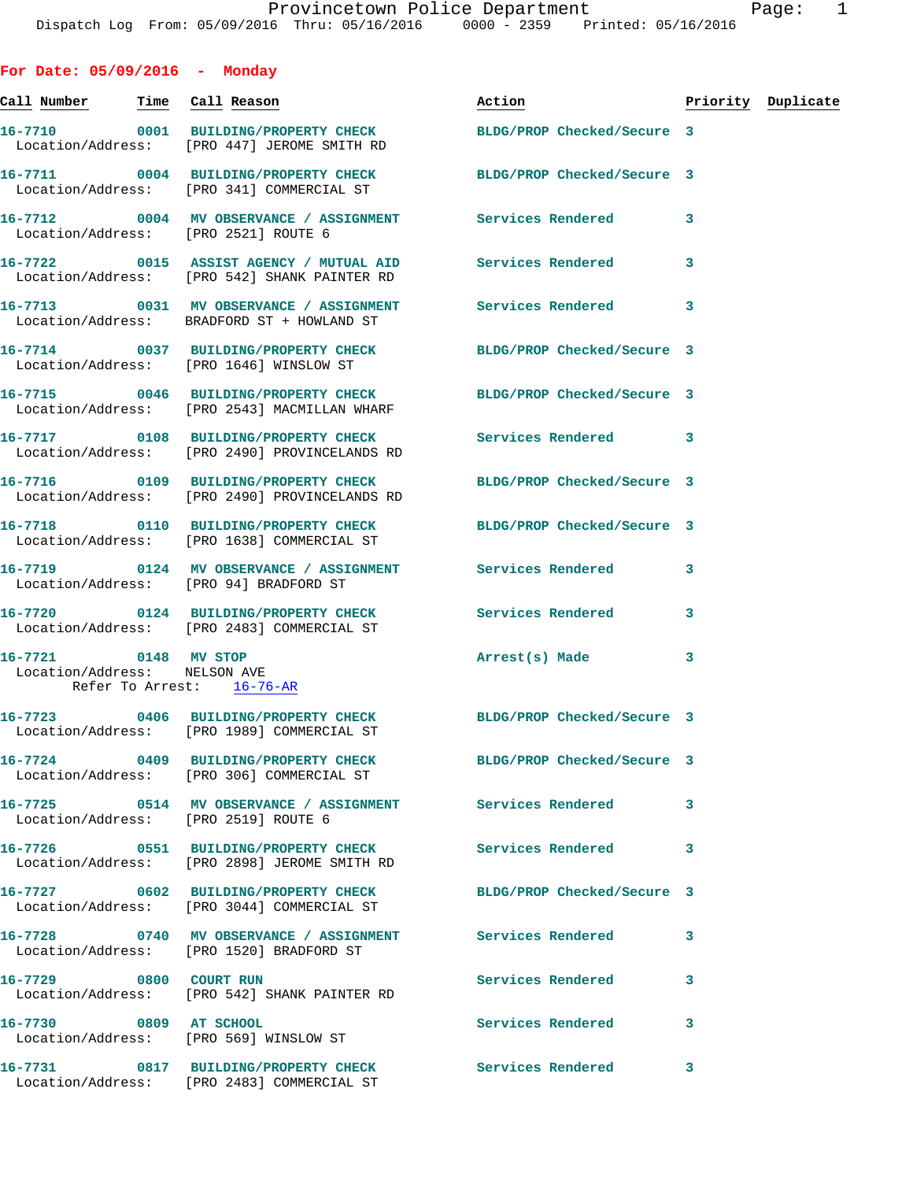| For Date: $05/09/2016$ - Monday                                                   |                                                                                                                |                            |   |                    |
|-----------------------------------------------------------------------------------|----------------------------------------------------------------------------------------------------------------|----------------------------|---|--------------------|
| Call Number - Time Call Reason                                                    |                                                                                                                | Action                     |   | Priority Duplicate |
|                                                                                   | 16-7710 0001 BUILDING/PROPERTY CHECK BLDG/PROP Checked/Secure 3<br>Location/Address: [PRO 447] JEROME SMITH RD |                            |   |                    |
|                                                                                   | 16-7711 0004 BUILDING/PROPERTY CHECK BLDG/PROP Checked/Secure 3<br>Location/Address: [PRO 341] COMMERCIAL ST   |                            |   |                    |
| Location/Address: [PRO 2521] ROUTE 6                                              | 16-7712 0004 MV OBSERVANCE / ASSIGNMENT Services Rendered                                                      |                            | 3 |                    |
|                                                                                   | 16-7722 0015 ASSIST AGENCY / MUTUAL AID Services Rendered<br>Location/Address: [PRO 542] SHANK PAINTER RD      |                            | 3 |                    |
|                                                                                   | 16-7713 0031 MV OBSERVANCE / ASSIGNMENT Services Rendered<br>Location/Address: BRADFORD ST + HOWLAND ST        |                            | 3 |                    |
|                                                                                   | 16-7714 0037 BUILDING/PROPERTY CHECK BLDG/PROP Checked/Secure 3<br>Location/Address: [PRO 1646] WINSLOW ST     |                            |   |                    |
|                                                                                   | 16-7715 0046 BUILDING/PROPERTY CHECK<br>Location/Address: [PRO 2543] MACMILLAN WHARF                           | BLDG/PROP Checked/Secure 3 |   |                    |
|                                                                                   | 16-7717 0108 BUILDING/PROPERTY CHECK<br>Location/Address: [PRO 2490] PROVINCELANDS RD                          | <b>Services Rendered</b> 3 |   |                    |
|                                                                                   | 16-7716 0109 BUILDING/PROPERTY CHECK<br>Location/Address: [PRO 2490] PROVINCELANDS RD                          | BLDG/PROP Checked/Secure 3 |   |                    |
|                                                                                   | 16-7718 0110 BUILDING/PROPERTY CHECK BLDG/PROP Checked/Secure 3<br>Location/Address: [PRO 1638] COMMERCIAL ST  |                            |   |                    |
|                                                                                   | 16-7719 0124 MV OBSERVANCE / ASSIGNMENT Services Rendered<br>Location/Address: [PRO 94] BRADFORD ST            |                            | 3 |                    |
|                                                                                   | 16-7720  0124 BUILDING/PROPERTY CHECK Services Rendered<br>Location/Address: [PRO 2483] COMMERCIAL ST          |                            | 3 |                    |
| 16-7721 0148 MV STOP<br>Location/Address: NELSON AVE<br>Refer To Arrest: 16-76-AR |                                                                                                                | Arrest(s) Made             | 3 |                    |
|                                                                                   | 16-7723 0406 BUILDING/PROPERTY CHECK BLDG/PROP Checked/Secure 3<br>Location/Address: [PRO 1989] COMMERCIAL ST  |                            |   |                    |
|                                                                                   | 16-7724 0409 BUILDING/PROPERTY CHECK BLDG/PROP Checked/Secure 3<br>Location/Address: [PRO 306] COMMERCIAL ST   |                            |   |                    |
| Location/Address: [PRO 2519] ROUTE 6                                              | 16-7725 0514 MV OBSERVANCE / ASSIGNMENT Services Rendered                                                      |                            | 3 |                    |
|                                                                                   | 16-7726 0551 BUILDING/PROPERTY CHECK<br>Location/Address: [PRO 2898] JEROME SMITH RD                           | <b>Services Rendered</b>   | 3 |                    |
|                                                                                   | 16-7727 0602 BUILDING/PROPERTY CHECK BLDG/PROP Checked/Secure 3<br>Location/Address: [PRO 3044] COMMERCIAL ST  |                            |   |                    |
|                                                                                   | 16-7728 0740 MV OBSERVANCE / ASSIGNMENT Services Rendered<br>Location/Address: [PRO 1520] BRADFORD ST          |                            | 3 |                    |
| 16-7729 0800 COURT RUN                                                            | Location/Address: [PRO 542] SHANK PAINTER RD                                                                   | Services Rendered          | 3 |                    |
| 16-7730 0809 AT SCHOOL                                                            | Location/Address: [PRO 569] WINSLOW ST                                                                         | <b>Services Rendered</b>   | 3 |                    |
|                                                                                   | 16-7731 0817 BUILDING/PROPERTY CHECK Services Rendered<br>Location/Address: [PRO 2483] COMMERCIAL ST           |                            | 3 |                    |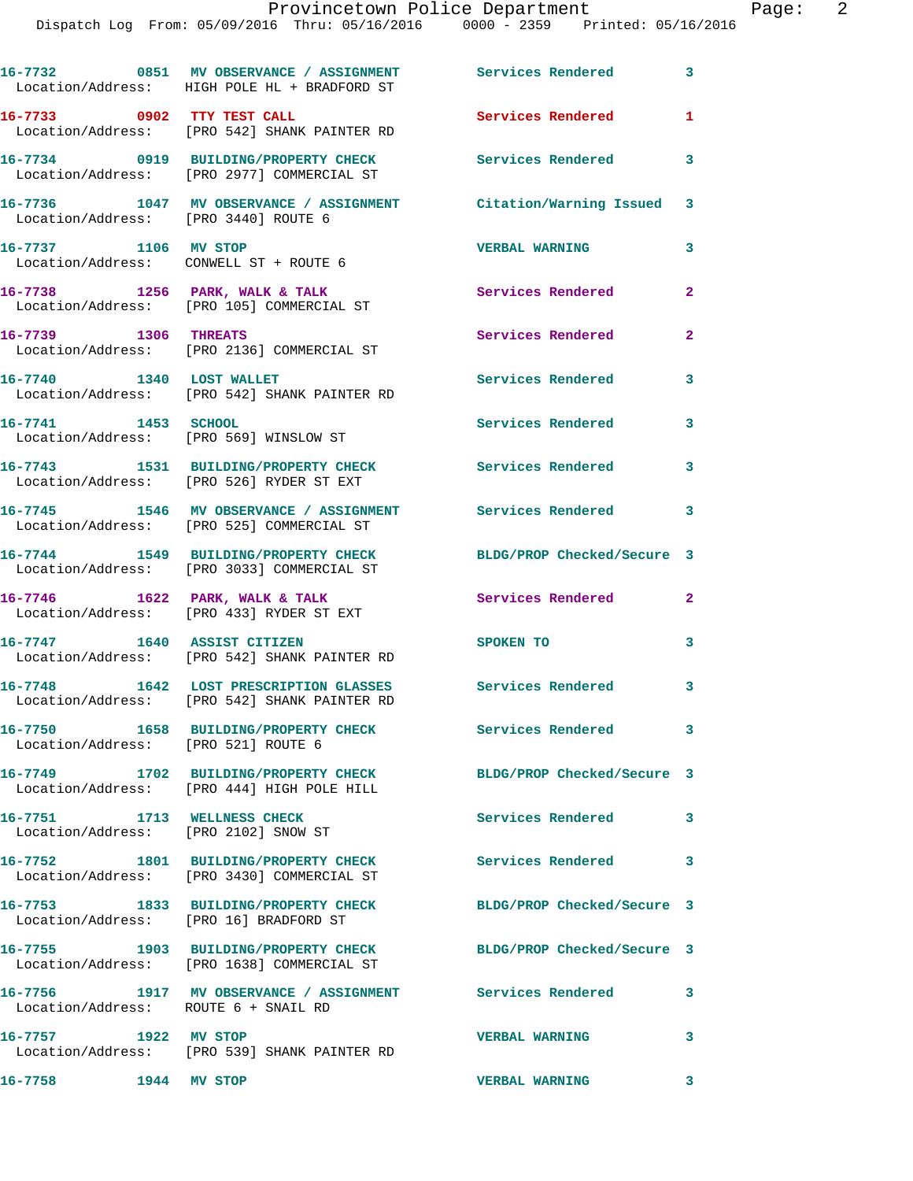|                                                                     | 16-7732 0851 MV OBSERVANCE / ASSIGNMENT Services Rendered<br>Location/Address: HIGH POLE HL + BRADFORD ST     |                            | 3                        |
|---------------------------------------------------------------------|---------------------------------------------------------------------------------------------------------------|----------------------------|--------------------------|
| 16-7733 0902 TTY TEST CALL                                          | Location/Address: [PRO 542] SHANK PAINTER RD                                                                  | Services Rendered          | $\mathbf{1}$             |
|                                                                     | 16-7734 0919 BUILDING/PROPERTY CHECK<br>Location/Address: [PRO 2977] COMMERCIAL ST                            | <b>Services Rendered</b>   | 3                        |
| Location/Address: [PRO 3440] ROUTE 6                                | 16-7736 1047 MV OBSERVANCE / ASSIGNMENT                                                                       | Citation/Warning Issued 3  |                          |
| 16-7737 1106 MV STOP                                                | Location/Address: CONWELL ST + ROUTE 6                                                                        | <b>VERBAL WARNING</b>      | 3                        |
|                                                                     | 16-7738 1256 PARK, WALK & TALK<br>Location/Address: [PRO 105] COMMERCIAL ST                                   | Services Rendered          | 2                        |
| 16-7739 1306 THREATS                                                | Location/Address: [PRO 2136] COMMERCIAL ST                                                                    | Services Rendered          | $\overline{a}$           |
| 16-7740 1340 LOST WALLET                                            | Location/Address: [PRO 542] SHANK PAINTER RD                                                                  | Services Rendered          | 3                        |
| 16-7741 1453 SCHOOL                                                 | Location/Address: [PRO 569] WINSLOW ST                                                                        | Services Rendered          | 3                        |
|                                                                     | 16-7743 1531 BUILDING/PROPERTY CHECK<br>Location/Address: [PRO 526] RYDER ST EXT                              | <b>Services Rendered</b>   | 3                        |
|                                                                     | 16-7745 1546 MV OBSERVANCE / ASSIGNMENT<br>Location/Address: [PRO 525] COMMERCIAL ST                          | Services Rendered 3        |                          |
|                                                                     | 16-7744 1549 BUILDING/PROPERTY CHECK<br>Location/Address: [PRO 3033] COMMERCIAL ST                            | BLDG/PROP Checked/Secure 3 |                          |
|                                                                     | 16-7746 1622 PARK, WALK & TALK<br>Location/Address: [PRO 433] RYDER ST EXT                                    | Services Rendered          | $\mathbf{2}$             |
|                                                                     | 16-7747 1640 ASSIST CITIZEN<br>Location/Address: [PRO 542] SHANK PAINTER RD                                   | SPOKEN TO                  | 3                        |
|                                                                     | 16-7748 1642 LOST PRESCRIPTION GLASSES<br>Location/Address: [PRO 542] SHANK PAINTER RD                        | <b>Services Rendered</b>   | 3                        |
| Location/Address: [PRO 521] ROUTE 6                                 |                                                                                                               | Services Rendered          | 3                        |
| 16-7749                                                             | 1702 BUILDING/PROPERTY CHECK<br>Location/Address: [PRO 444] HIGH POLE HILL                                    | BLDG/PROP Checked/Secure 3 |                          |
| 16-7751 1713 WELLNESS CHECK<br>Location/Address: [PRO 2102] SNOW ST |                                                                                                               | Services Rendered          | 3                        |
|                                                                     | 16-7752 1801 BUILDING/PROPERTY CHECK<br>Location/Address: [PRO 3430] COMMERCIAL ST                            | <b>Services Rendered</b>   | $\overline{\phantom{a}}$ |
| Location/Address: [PRO 16] BRADFORD ST                              | 16-7753 1833 BUILDING/PROPERTY CHECK                                                                          | BLDG/PROP Checked/Secure 3 |                          |
|                                                                     | 16-7755 1903 BUILDING/PROPERTY CHECK BLDG/PROP Checked/Secure 3<br>Location/Address: [PRO 1638] COMMERCIAL ST |                            |                          |
| Location/Address: ROUTE 6 + SNAIL RD                                | 16-7756 1917 MV OBSERVANCE / ASSIGNMENT Services Rendered                                                     |                            | 3                        |
| 16-7757 1922 MV STOP                                                | Location/Address: [PRO 539] SHANK PAINTER RD                                                                  | <b>VERBAL WARNING</b>      | 3                        |
| 16-7758<br><b>1944 MV STOP</b>                                      |                                                                                                               | <b>VERBAL WARNING</b>      | 3                        |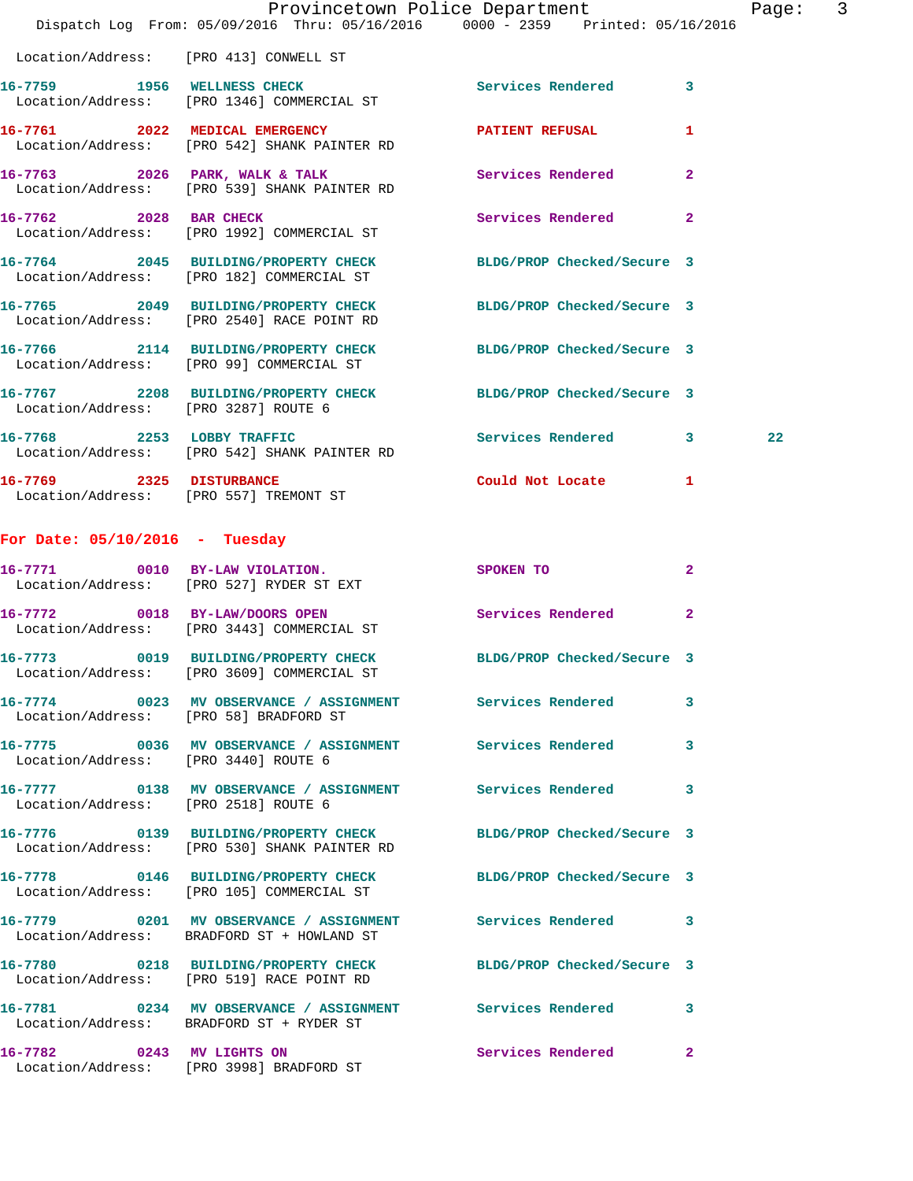|                                        | Provincetown Police Department<br>Dispatch Log From: 05/09/2016 Thru: 05/16/2016 0000 - 2359 Printed: 05/16/2016            |                     |              | Page: 3 |  |
|----------------------------------------|-----------------------------------------------------------------------------------------------------------------------------|---------------------|--------------|---------|--|
|                                        | Location/Address: [PRO 413] CONWELL ST                                                                                      |                     |              |         |  |
|                                        | 16-7759 1956 WELLNESS CHECK<br>Location/Address: [PRO 1346] COMMERCIAL ST                                                   | Services Rendered 3 |              |         |  |
|                                        | 16-7761 2022 MEDICAL EMERGENCY PATIENT REFUSAL<br>Location/Address: [PRO 542] SHANK PAINTER RD                              |                     | $\mathbf{1}$ |         |  |
|                                        | 16-7763 2026 PARK, WALK & TALK 2008 Services Rendered<br>Location/Address: [PRO 539] SHANK PAINTER RD                       |                     | $\mathbf{2}$ |         |  |
| 16-7762 2028 BAR CHECK                 | Location/Address: [PRO 1992] COMMERCIAL ST                                                                                  | Services Rendered 2 |              |         |  |
|                                        | 16-7764 2045 BUILDING/PROPERTY CHECK BLDG/PROP Checked/Secure 3<br>Location/Address: [PRO 182] COMMERCIAL ST                |                     |              |         |  |
|                                        | 16-7765 2049 BUILDING/PROPERTY CHECK BLDG/PROP Checked/Secure 3<br>Location/Address: [PRO 2540] RACE POINT RD               |                     |              |         |  |
|                                        | 16-7766 2114 BUILDING/PROPERTY CHECK BLDG/PROP Checked/Secure 3<br>Location/Address: [PRO 99] COMMERCIAL ST                 |                     |              |         |  |
| Location/Address: [PRO 3287] ROUTE 6   | 16-7767 2208 BUILDING/PROPERTY CHECK BLDG/PROP Checked/Secure 3                                                             |                     |              |         |  |
|                                        | 16-7768 2253 LOBBY TRAFFIC<br>Location/Address: [PRO 542] SHANK PAINTER RD                                                  | Services Rendered 3 |              | 22      |  |
| Location/Address: [PRO 557] TREMONT ST | 16-7769 2325 DISTURBANCE                                                                                                    | Could Not Locate 1  |              |         |  |
| For Date: $05/10/2016$ - Tuesday       |                                                                                                                             |                     |              |         |  |
|                                        | 16-7771 0010 BY-LAW VIOLATION.<br>Location/Address: [PRO 527] RYDER ST EXT                                                  | SPOKEN TO           | $\mathbf{2}$ |         |  |
|                                        | 16-7772 0018 BY-LAW/DOORS OPEN Services Rendered 2<br>Location/Address: [PRO 3443] COMMERCIAL ST                            |                     |              |         |  |
|                                        | 16-7773       0019  BUILDING/PROPERTY CHECK        BLDG/PROP Checked/Secure 3<br>Location/Address: [PRO 3609] COMMERCIAL ST |                     |              |         |  |
| Location/Address: [PRO 58] BRADFORD ST | 16-7774 0023 MV OBSERVANCE / ASSIGNMENT Services Rendered                                                                   |                     | 3            |         |  |
| Location/Address: [PRO 3440] ROUTE 6   | 16-7775 0036 MV OBSERVANCE / ASSIGNMENT Services Rendered 3                                                                 |                     |              |         |  |
| Location/Address: [PRO 2518] ROUTE 6   | 16-7777 0138 MV OBSERVANCE / ASSIGNMENT Services Rendered                                                                   |                     | 3            |         |  |
|                                        | 16-7776 0139 BUILDING/PROPERTY CHECK BLDG/PROP Checked/Secure 3<br>Location/Address: [PRO 530] SHANK PAINTER RD             |                     |              |         |  |
|                                        | 16-7778 0146 BUILDING/PROPERTY CHECK BLDG/PROP Checked/Secure 3<br>Location/Address: [PRO 105] COMMERCIAL ST                |                     |              |         |  |
|                                        | 16-7779 0201 MV OBSERVANCE / ASSIGNMENT Services Rendered 3<br>Location/Address: BRADFORD ST + HOWLAND ST                   |                     |              |         |  |
|                                        | 16-7780 0218 BUILDING/PROPERTY CHECK BLDG/PROP Checked/Secure 3<br>Location/Address: [PRO 519] RACE POINT RD                |                     |              |         |  |
|                                        | 16-7781 0234 MV OBSERVANCE / ASSIGNMENT Services Rendered<br>Location/Address: BRADFORD ST + RYDER ST                       |                     | 3            |         |  |
| 16-7782 0243 MV LIGHTS ON              | Location/Address: [PRO 3998] BRADFORD ST                                                                                    | Services Rendered 2 |              |         |  |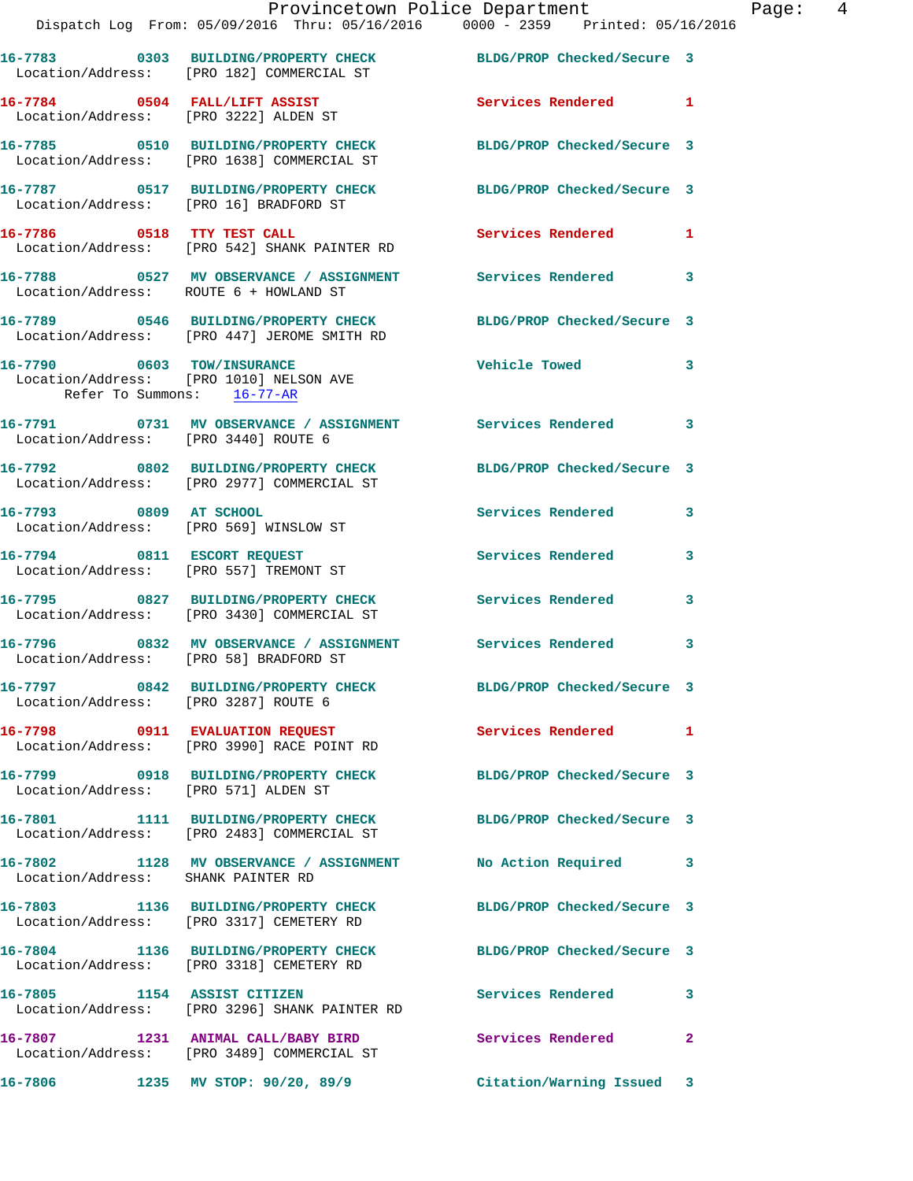|                                        | Provincetown Police Department<br>Dispatch Log From: 05/09/2016 Thru: 05/16/2016 0000 - 2359 Printed: 05/16/2016 |                            |                |
|----------------------------------------|------------------------------------------------------------------------------------------------------------------|----------------------------|----------------|
|                                        |                                                                                                                  |                            |                |
|                                        | 16-7783 0303 BUILDING/PROPERTY CHECK BLDG/PROP Checked/Secure 3<br>Location/Address: [PRO 182] COMMERCIAL ST     |                            |                |
|                                        | 16-7784 0504 FALL/LIFT ASSIST<br>Location/Address: [PRO 3222] ALDEN ST                                           | Services Rendered          | 1              |
|                                        | 16-7785 0510 BUILDING/PROPERTY CHECK<br>Location/Address: [PRO 1638] COMMERCIAL ST                               | BLDG/PROP Checked/Secure 3 |                |
| Location/Address: [PRO 16] BRADFORD ST | 16-7787 0517 BUILDING/PROPERTY CHECK BLDG/PROP Checked/Secure 3                                                  |                            |                |
|                                        | 16-7786 0518 TTY TEST CALL<br>Location/Address: [PRO 542] SHANK PAINTER RD                                       | Services Rendered          | 1              |
| Location/Address: ROUTE 6 + HOWLAND ST | 16-7788 0527 MV OBSERVANCE / ASSIGNMENT Services Rendered                                                        |                            | 3              |
|                                        | 16-7789 0546 BUILDING/PROPERTY CHECK<br>Location/Address: [PRO 447] JEROME SMITH RD                              | BLDG/PROP Checked/Secure 3 |                |
| Refer To Summons: 16-77-AR             | 16-7790 0603 TOW/INSURANCE<br>Location/Address: [PRO 1010] NELSON AVE                                            | <b>Vehicle Towed</b>       | 3              |
| Location/Address: [PRO 3440] ROUTE 6   | 16-7791 0731 MV OBSERVANCE / ASSIGNMENT Services Rendered                                                        |                            | 3              |
|                                        | 16-7792 0802 BUILDING/PROPERTY CHECK<br>Location/Address: [PRO 2977] COMMERCIAL ST                               | BLDG/PROP Checked/Secure 3 |                |
| 16-7793 0809 AT SCHOOL                 | Location/Address: [PRO 569] WINSLOW ST                                                                           | Services Rendered          | 3              |
|                                        | 16-7794 0811 ESCORT REQUEST<br>Location/Address: [PRO 557] TREMONT ST                                            | Services Rendered          | 3              |
|                                        | 16-7795 0827 BUILDING/PROPERTY CHECK Services Rendered<br>Location/Address: [PRO 3430] COMMERCIAL ST             |                            | 3              |
| Location/Address: [PRO 58] BRADFORD ST | 16-7796 6832 MV OBSERVANCE / ASSIGNMENT Services Rendered                                                        |                            | 3              |
| Location/Address: [PRO 3287] ROUTE 6   | 16-7797 0842 BUILDING/PROPERTY CHECK BLDG/PROP Checked/Secure 3                                                  |                            |                |
|                                        | 16-7798 0911 EVALUATION REQUEST<br>Location/Address: [PRO 3990] RACE POINT RD                                    | Services Rendered          | 1              |
| Location/Address: [PRO 571] ALDEN ST   | 16-7799 0918 BUILDING/PROPERTY CHECK                                                                             | BLDG/PROP Checked/Secure 3 |                |
|                                        | 16-7801 1111 BUILDING/PROPERTY CHECK<br>Location/Address: [PRO 2483] COMMERCIAL ST                               | BLDG/PROP Checked/Secure 3 |                |
| Location/Address: SHANK PAINTER RD     | 16-7802 1128 MV OBSERVANCE / ASSIGNMENT                                                                          | No Action Required         | 3              |
|                                        | 16-7803 1136 BUILDING/PROPERTY CHECK<br>Location/Address: [PRO 3317] CEMETERY RD                                 | BLDG/PROP Checked/Secure 3 |                |
|                                        | 16-7804 1136 BUILDING/PROPERTY CHECK<br>Location/Address: [PRO 3318] CEMETERY RD                                 | BLDG/PROP Checked/Secure 3 |                |
|                                        | 16-7805 1154 ASSIST CITIZEN<br>Location/Address: [PRO 3296] SHANK PAINTER RD                                     | Services Rendered          | 3              |
|                                        | 16-7807 1231 ANIMAL CALL/BABY BIRD<br>Location/Address: [PRO 3489] COMMERCIAL ST                                 | Services Rendered          | $\overline{a}$ |
|                                        | 16-7806 1235 MV STOP: 90/20, 89/9                                                                                | Citation/Warning Issued    | $\mathbf{3}$   |

Page: 4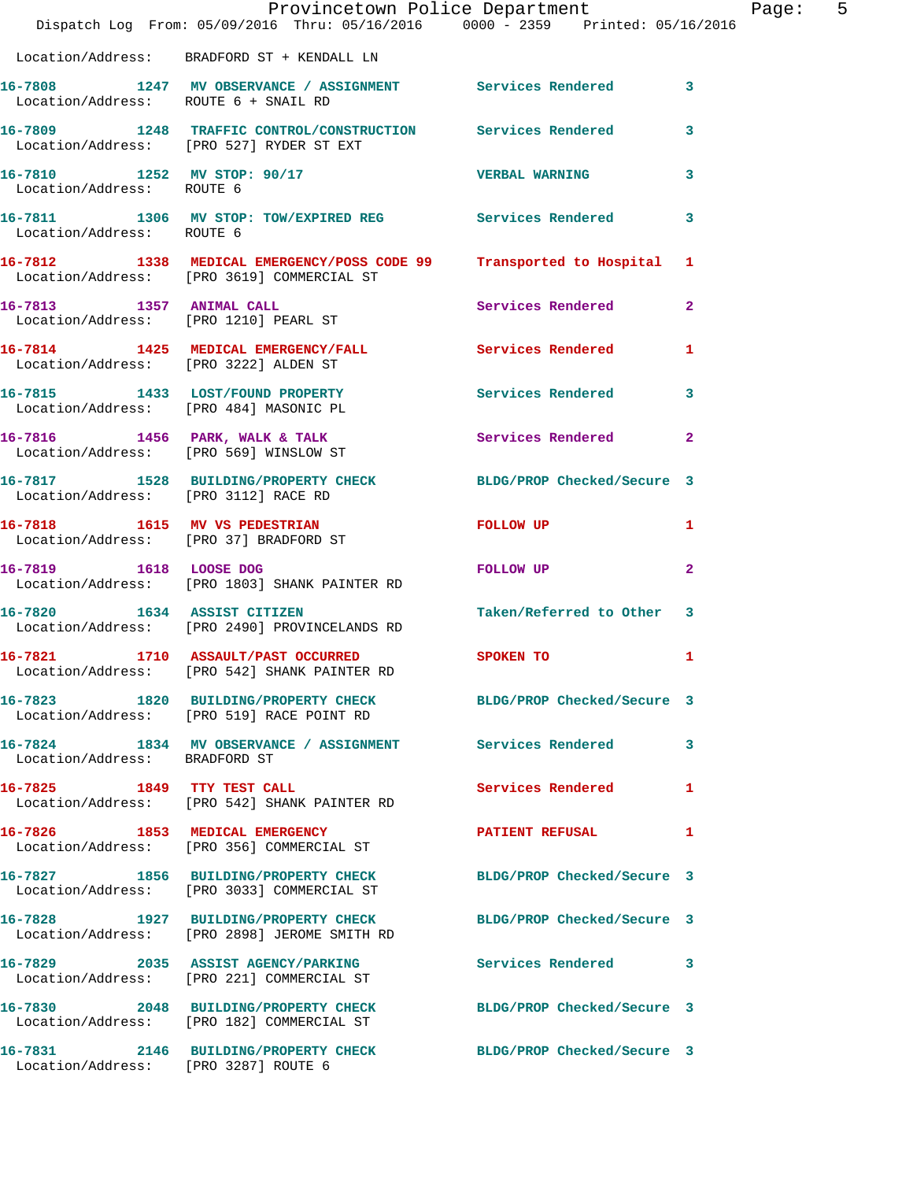|                                        | Dispatch Log From: 05/09/2016 Thru: 05/16/2016 0000 - 2359 Printed: 05/16/2016                                      | Provincetown Police Department |              | Page: 5 |  |
|----------------------------------------|---------------------------------------------------------------------------------------------------------------------|--------------------------------|--------------|---------|--|
|                                        | Location/Address: BRADFORD ST + KENDALL LN                                                                          |                                |              |         |  |
| Location/Address: ROUTE 6 + SNAIL RD   | 16-7808 1247 MV OBSERVANCE / ASSIGNMENT Services Rendered 3                                                         |                                |              |         |  |
|                                        | 16-7809 1248 TRAFFIC CONTROL/CONSTRUCTION Services Rendered<br>Location/Address: [PRO 527] RYDER ST EXT             |                                | 3            |         |  |
| Location/Address: ROUTE 6              | 16-7810 1252 MV STOP: 90/17 7 VERBAL WARNING                                                                        |                                | 3            |         |  |
| Location/Address: ROUTE 6              | 16-7811 1306 MV STOP: TOW/EXPIRED REG Services Rendered                                                             |                                | 3            |         |  |
|                                        | 16-7812 1338 MEDICAL EMERGENCY/POSS CODE 99 Transported to Hospital 1<br>Location/Address: [PRO 3619] COMMERCIAL ST |                                |              |         |  |
|                                        | 16-7813 1357 ANIMAL CALL<br>Location/Address: [PRO 1210] PEARL ST                                                   | Services Rendered 2            |              |         |  |
| Location/Address: [PRO 3222] ALDEN ST  | 16-7814 1425 MEDICAL EMERGENCY/FALL Services Rendered 1                                                             |                                |              |         |  |
|                                        | 16-7815 1433 LOST/FOUND PROPERTY<br>Location/Address: [PRO 484] MASONIC PL                                          | Services Rendered 3            |              |         |  |
|                                        | 16-7816 1456 PARK, WALK & TALK<br>Location/Address: [PRO 569] WINSLOW ST                                            | Services Rendered              | $\mathbf{2}$ |         |  |
| Location/Address: [PRO 3112] RACE RD   | 16-7817 1528 BUILDING/PROPERTY CHECK BLDG/PROP Checked/Secure 3                                                     |                                |              |         |  |
| Location/Address: [PRO 37] BRADFORD ST | 16-7818 1615 MV VS PEDESTRIAN                                                                                       | FOLLOW UP                      | 1            |         |  |
|                                        | 16-7819 1618 LOOSE DOG<br>Location/Address: [PRO 1803] SHANK PAINTER RD                                             | FOLLOW UP                      | $\mathbf{2}$ |         |  |
| 16-7820 1634 ASSIST CITIZEN            | Location/Address: [PRO 2490] PROVINCELANDS RD                                                                       | Taken/Referred to Other 3      |              |         |  |
|                                        | 16-7821 1710 ASSAULT/PAST OCCURRED<br>Location/Address: [PRO 542] SHANK PAINTER RD                                  | <b>SPOKEN TO</b>               | 1            |         |  |
|                                        | 16-7823 1820 BUILDING/PROPERTY CHECK BLDG/PROP Checked/Secure 3<br>Location/Address: [PRO 519] RACE POINT RD        |                                |              |         |  |
| Location/Address: BRADFORD ST          | 16-7824 1834 MV OBSERVANCE / ASSIGNMENT Services Rendered 3                                                         |                                |              |         |  |
| 16-7825 1849 TTY TEST CALL             | Location/Address: [PRO 542] SHANK PAINTER RD                                                                        | Services Rendered              | 1            |         |  |
|                                        | 16-7826 1853 MEDICAL EMERGENCY<br>Location/Address: [PRO 356] COMMERCIAL ST                                         | PATIENT REFUSAL 1              |              |         |  |
|                                        | 16-7827 1856 BUILDING/PROPERTY CHECK BLDG/PROP Checked/Secure 3<br>Location/Address: [PRO 3033] COMMERCIAL ST       |                                |              |         |  |
|                                        | 16-7828 1927 BUILDING/PROPERTY CHECK BLDG/PROP Checked/Secure 3<br>Location/Address: [PRO 2898] JEROME SMITH RD     |                                |              |         |  |
|                                        | 16-7829 2035 ASSIST AGENCY/PARKING<br>Location/Address: [PRO 221] COMMERCIAL ST                                     | Services Rendered 3            |              |         |  |
|                                        | 16-7830 2048 BUILDING/PROPERTY CHECK BLDG/PROP Checked/Secure 3<br>Location/Address: [PRO 182] COMMERCIAL ST        |                                |              |         |  |
| Location/Address: [PRO 3287] ROUTE 6   | 16-7831 2146 BUILDING/PROPERTY CHECK BLDG/PROP Checked/Secure 3                                                     |                                |              |         |  |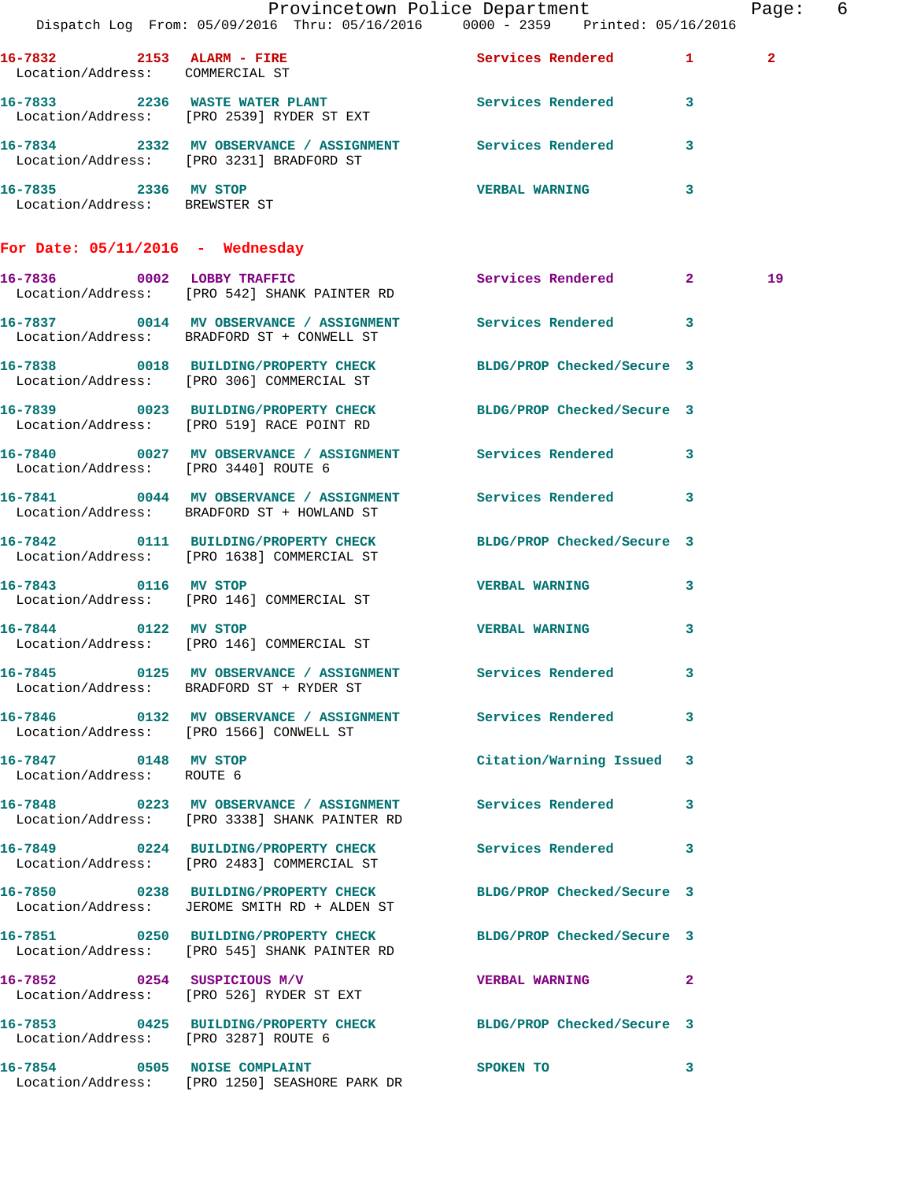|                                                       | Provincetown Police Department                                                                                  |                           | Page: 6        |
|-------------------------------------------------------|-----------------------------------------------------------------------------------------------------------------|---------------------------|----------------|
|                                                       | Dispatch Log From: 05/09/2016 Thru: 05/16/2016 0000 - 2359 Printed: 05/16/2016                                  |                           |                |
| Location/Address: COMMERCIAL ST                       | 16-7832 2153 ALARM - FIRE                                                                                       | Services Rendered 1       | $\overline{2}$ |
|                                                       | 16-7833 2236 WASTE WATER PLANT Services Rendered 3<br>Location/Address: [PRO 2539] RYDER ST EXT                 |                           |                |
|                                                       | 16-7834 2332 MV OBSERVANCE / ASSIGNMENT Services Rendered 3<br>Location/Address: [PRO 3231] BRADFORD ST         |                           |                |
| 16-7835 2336 MV STOP<br>Location/Address: BREWSTER ST |                                                                                                                 | <b>VERBAL WARNING</b>     | $\mathbf{3}$   |
| For Date: $05/11/2016$ - Wednesday                    |                                                                                                                 |                           |                |
|                                                       | 16-7836 0002 LOBBY TRAFFIC<br>Location/Address: [PRO 542] SHANK PAINTER RD                                      | Services Rendered 2       | 19             |
|                                                       | 16-7837 0014 MV OBSERVANCE / ASSIGNMENT Services Rendered 3<br>Location/Address: BRADFORD ST + CONWELL ST       |                           |                |
|                                                       | 16-7838 0018 BUILDING/PROPERTY CHECK BLDG/PROP Checked/Secure 3<br>Location/Address: [PRO 306] COMMERCIAL ST    |                           |                |
|                                                       | 16-7839 0023 BUILDING/PROPERTY CHECK BLDG/PROP Checked/Secure 3<br>Location/Address: [PRO 519] RACE POINT RD    |                           |                |
| Location/Address: [PRO 3440] ROUTE 6                  | 16-7840 0027 MV OBSERVANCE / ASSIGNMENT Services Rendered 3                                                     |                           |                |
|                                                       | 16-7841 0044 MV OBSERVANCE / ASSIGNMENT Services Rendered 3<br>Location/Address: BRADFORD ST + HOWLAND ST       |                           |                |
|                                                       | 16-7842 0111 BUILDING/PROPERTY CHECK BLDG/PROP Checked/Secure 3<br>Location/Address: [PRO 1638] COMMERCIAL ST   |                           |                |
| 16-7843 0116 MV STOP                                  | Location/Address: [PRO 146] COMMERCIAL ST                                                                       | VERBAL WARNING 3          |                |
|                                                       | 16-7844 0122 MV STOP<br>Location/Address: [PRO 146] COMMERCIAL ST                                               | VERBAL WARNING 3          |                |
|                                                       | 16-7845 		 0125 MV OBSERVANCE / ASSIGNMENT Services Rendered 3<br>Location/Address: BRADFORD ST + RYDER ST      |                           |                |
| Location/Address: [PRO 1566] CONWELL ST               | 16-7846 		 0132 MV OBSERVANCE / ASSIGNMENT Services Rendered 3                                                  |                           |                |
| 16-7847 0148 MV STOP<br>Location/Address: ROUTE 6     |                                                                                                                 | Citation/Warning Issued 3 |                |
|                                                       | 16-7848 0223 MV OBSERVANCE / ASSIGNMENT Services Rendered 3<br>Location/Address: [PRO 3338] SHANK PAINTER RD    |                           |                |
|                                                       | 16-7849 		 0224 BUILDING/PROPERTY CHECK Services Rendered 3<br>Location/Address: [PRO 2483] COMMERCIAL ST       |                           |                |
|                                                       | 16-7850 0238 BUILDING/PROPERTY CHECK BLDG/PROP Checked/Secure 3<br>Location/Address: JEROME SMITH RD + ALDEN ST |                           |                |
|                                                       | 16-7851 0250 BUILDING/PROPERTY CHECK BLDG/PROP Checked/Secure 3<br>Location/Address: [PRO 545] SHANK PAINTER RD |                           |                |
|                                                       | 16-7852 0254 SUSPICIOUS M/V<br>Location/Address: [PRO 526] RYDER ST EXT                                         | VERBAL WARNING 2          |                |
| Location/Address: [PRO 3287] ROUTE 6                  | 16-7853 0425 BUILDING/PROPERTY CHECK BLDG/PROP Checked/Secure 3                                                 |                           |                |
|                                                       | 16-7854 0505 NOISE COMPLAINT<br>Location/Address: [PRO 1250] SEASHORE PARK DR                                   | SPOKEN TO                 | 3              |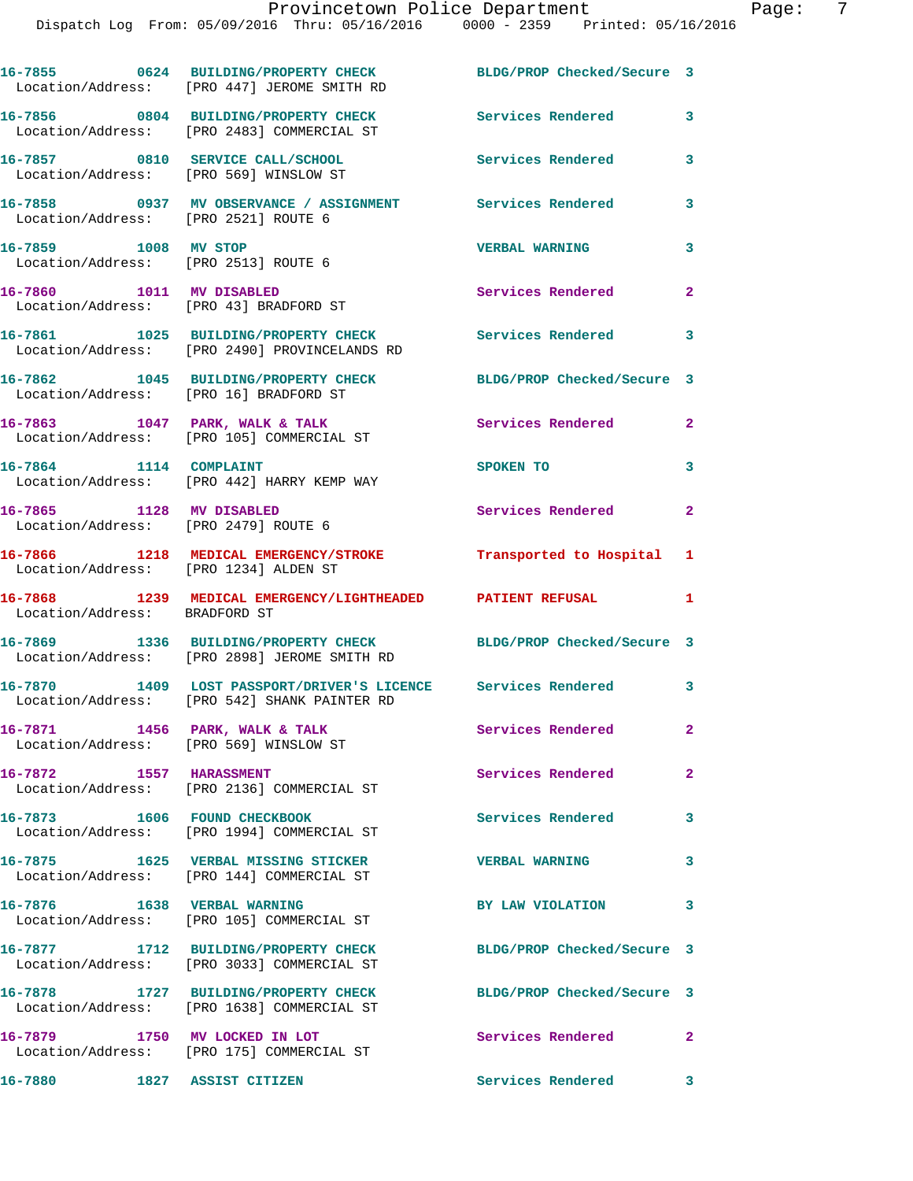Dispatch Log From: 05/09/2016 Thru: 05/16/2016 0000 - 2359 Printed: 05/16/2016

**16-7855 0624 BUILDING/PROPERTY CHECK BLDG/PROP Checked/Secure 3**  Location/Address: [PRO 447] JEROME SMITH RD **16-7856 0804 BUILDING/PROPERTY CHECK Services Rendered 3**  Location/Address: [PRO 2483] COMMERCIAL ST **16-7857 0810 SERVICE CALL/SCHOOL Services Rendered 3**  Location/Address: [PRO 569] WINSLOW ST **16-7858 0937 MV OBSERVANCE / ASSIGNMENT Services Rendered 3**  Location/Address: [PRO 2521] ROUTE 6 **16-7859 1008 MV STOP VERBAL WARNING 3**  Location/Address: [PRO 2513] ROUTE 6 **16-7860 1011 MV DISABLED Services Rendered 2**  Location/Address: [PRO 43] BRADFORD ST **16-7861 1025 BUILDING/PROPERTY CHECK Services Rendered 3**  Location/Address: [PRO 2490] PROVINCELANDS RD **16-7862 1045 BUILDING/PROPERTY CHECK BLDG/PROP Checked/Secure 3**  Location/Address: [PRO 16] BRADFORD ST 16-7863 1047 PARK, WALK & TALK **Services Rendered** 2 Location/Address: [PRO 105] COMMERCIAL ST **16-7864 1114 COMPLAINT SPOKEN TO 3**  Location/Address: [PRO 442] HARRY KEMP WAY **16-7865 1128 MV DISABLED Services Rendered 2**  Location/Address: [PRO 2479] ROUTE 6 **16-7866 1218 MEDICAL EMERGENCY/STROKE Transported to Hospital 1**  Location/Address: [PRO 1234] ALDEN ST **16-7868 1239 MEDICAL EMERGENCY/LIGHTHEADED PATIENT REFUSAL 1**  Location/Address: BRADFORD ST **16-7869 1336 BUILDING/PROPERTY CHECK BLDG/PROP Checked/Secure 3**  Location/Address: [PRO 2898] JEROME SMITH RD **16-7870 1409 LOST PASSPORT/DRIVER'S LICENCE Services Rendered 3**  Location/Address: [PRO 542] SHANK PAINTER RD **16-7871 1456 PARK, WALK & TALK Services Rendered 2**  Location/Address: [PRO 569] WINSLOW ST **16-7872 1557 HARASSMENT Services Rendered 2**  Location/Address: [PRO 2136] COMMERCIAL ST **16-7873 1606 FOUND CHECKBOOK Services Rendered 3**  Location/Address: [PRO 1994] COMMERCIAL ST **16-7875 1625 VERBAL MISSING STICKER VERBAL WARNING 3**  Location/Address: [PRO 144] COMMERCIAL ST 16-7876 1638 VERBAL WARNING **BY LAW VIOLATION** 3 Location/Address: [PRO 105] COMMERCIAL ST **16-7877 1712 BUILDING/PROPERTY CHECK BLDG/PROP Checked/Secure 3**  Location/Address: [PRO 3033] COMMERCIAL ST **16-7878 1727 BUILDING/PROPERTY CHECK BLDG/PROP Checked/Secure 3**  Location/Address: [PRO 1638] COMMERCIAL ST **16-7879 1750 MV LOCKED IN LOT Services Rendered 2**  Location/Address: [PRO 175] COMMERCIAL ST **16-7880 1827 ASSIST CITIZEN Services Rendered 3**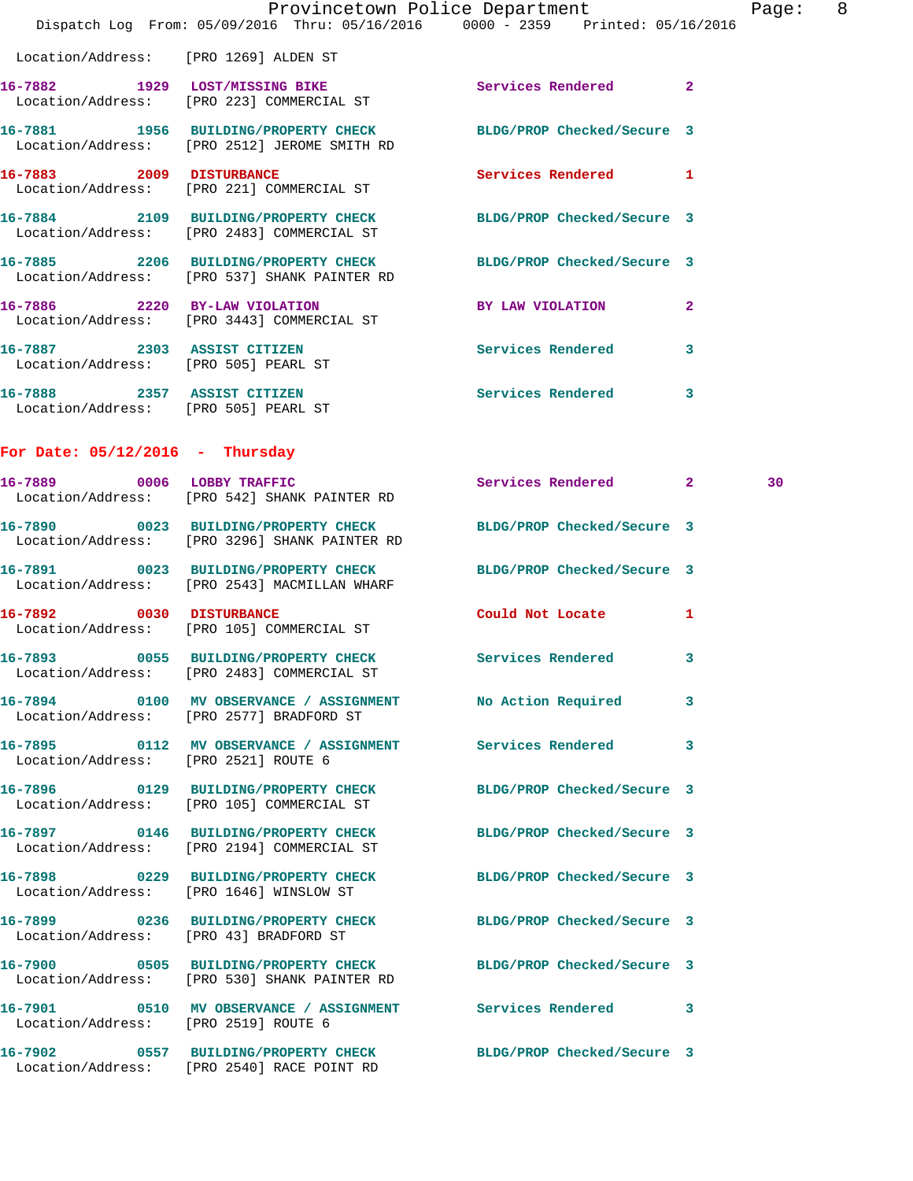|                                                                     | Dispatch Log From: 05/09/2016 Thru: 05/16/2016 0000 - 2359 Printed: 05/16/2016                                   | Provincetown Police Department |   | Page: 8 |  |
|---------------------------------------------------------------------|------------------------------------------------------------------------------------------------------------------|--------------------------------|---|---------|--|
| Location/Address: [PRO 1269] ALDEN ST                               |                                                                                                                  |                                |   |         |  |
|                                                                     | 16-7882 1929 LOST/MISSING BIKE Services Rendered 2<br>Location/Address: [PRO 223] COMMERCIAL ST                  |                                |   |         |  |
|                                                                     | 16-7881 1956 BUILDING/PROPERTY CHECK BLDG/PROP Checked/Secure 3<br>Location/Address: [PRO 2512] JEROME SMITH RD  |                                |   |         |  |
|                                                                     | 16-7883 2009 DISTURBANCE<br>Location/Address: [PRO 221] COMMERCIAL ST                                            | Services Rendered 1            |   |         |  |
|                                                                     | 16-7884 2109 BUILDING/PROPERTY CHECK BLDG/PROP Checked/Secure 3<br>Location/Address: [PRO 2483] COMMERCIAL ST    |                                |   |         |  |
|                                                                     | 16-7885 2206 BUILDING/PROPERTY CHECK BLDG/PROP Checked/Secure 3<br>Location/Address: [PRO 537] SHANK PAINTER RD  |                                |   |         |  |
|                                                                     | 16-7886 2220 BY-LAW VIOLATION<br>Location/Address: [PRO 3443] COMMERCIAL ST                                      | BY LAW VIOLATION 2             |   |         |  |
| Location/Address: [PRO 505] PEARL ST                                | 16-7887 2303 ASSIST CITIZEN                                                                                      | <b>Services Rendered</b>       | 3 |         |  |
| 16-7888 2357 ASSIST CITIZEN<br>Location/Address: [PRO 505] PEARL ST |                                                                                                                  | Services Rendered              | 3 |         |  |
| For Date: $05/12/2016$ - Thursday                                   |                                                                                                                  |                                |   |         |  |
|                                                                     | 16-7889 0006 LOBBY TRAFFIC<br>Location/Address: [PRO 542] SHANK PAINTER RD                                       | Services Rendered 2            |   | 30      |  |
|                                                                     | 16-7890 0023 BUILDING/PROPERTY CHECK BLDG/PROP Checked/Secure 3<br>Location/Address: [PRO 3296] SHANK PAINTER RD |                                |   |         |  |
|                                                                     | 16-7891 0023 BUILDING/PROPERTY CHECK<br>Location/Address: [PRO 2543] MACMILLAN WHARF                             | BLDG/PROP Checked/Secure 3     |   |         |  |
| 16-7892 0030 DISTURBANCE                                            | Location/Address: [PRO 105] COMMERCIAL ST                                                                        | Could Not Locate 1             |   |         |  |
|                                                                     | 16-7893 0055 BUILDING/PROPERTY CHECK Services Rendered 3<br>Location/Address: [PRO 2483] COMMERCIAL ST           |                                |   |         |  |
|                                                                     | 16-7894 0100 MV OBSERVANCE / ASSIGNMENT No Action Required<br>Location/Address: [PRO 2577] BRADFORD ST           |                                | 3 |         |  |
| Location/Address: [PRO 2521] ROUTE 6                                | 16-7895 0112 MV OBSERVANCE / ASSIGNMENT Services Rendered 3                                                      |                                |   |         |  |
|                                                                     | 16-7896 0129 BUILDING/PROPERTY CHECK BLDG/PROP Checked/Secure 3<br>Location/Address: [PRO 105] COMMERCIAL ST     |                                |   |         |  |
|                                                                     | 16-7897 0146 BUILDING/PROPERTY CHECK BLDG/PROP Checked/Secure 3<br>Location/Address: [PRO 2194] COMMERCIAL ST    |                                |   |         |  |
|                                                                     | 16-7898 0229 BUILDING/PROPERTY CHECK BLDG/PROP Checked/Secure 3<br>Location/Address: [PRO 1646] WINSLOW ST       |                                |   |         |  |
|                                                                     | 16-7899 0236 BUILDING/PROPERTY CHECK BLDG/PROP Checked/Secure 3<br>Location/Address: [PRO 43] BRADFORD ST        |                                |   |         |  |
|                                                                     | 16-7900 0505 BUILDING/PROPERTY CHECK BLDG/PROP Checked/Secure 3<br>Location/Address: [PRO 530] SHANK PAINTER RD  |                                |   |         |  |
| Location/Address: [PRO 2519] ROUTE 6                                | 16-7901 0510 MV OBSERVANCE / ASSIGNMENT Services Rendered 3                                                      |                                |   |         |  |
|                                                                     | 16-7902 0557 BUILDING/PROPERTY CHECK BLDG/PROP Checked/Secure 3<br>Location/Address: [PRO 2540] RACE POINT RD    |                                |   |         |  |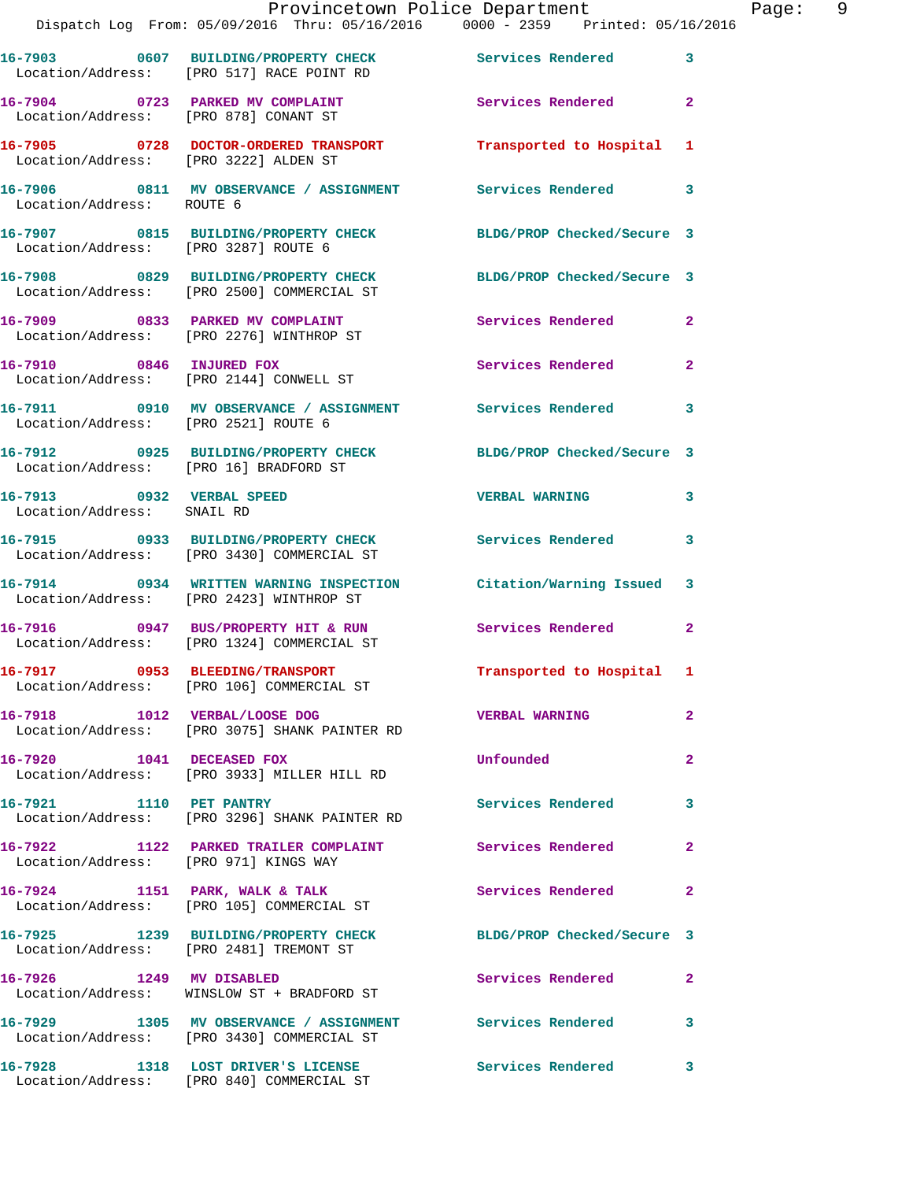|                                        | Provincetown Police Department                                                                                |                           |                |
|----------------------------------------|---------------------------------------------------------------------------------------------------------------|---------------------------|----------------|
|                                        | Dispatch Log From: 05/09/2016 Thru: 05/16/2016 0000 - 2359 Printed: 05/16/2016                                |                           |                |
|                                        | 16-7903 0607 BUILDING/PROPERTY CHECK Services Rendered<br>Location/Address: [PRO 517] RACE POINT RD           |                           | 3              |
| Location/Address: [PRO 878] CONANT ST  | 16-7904 0723 PARKED MV COMPLAINT                                                                              | Services Rendered         | $\overline{a}$ |
|                                        |                                                                                                               |                           | 1              |
| Location/Address: ROUTE 6              | 16-7906 6811 MV OBSERVANCE / ASSIGNMENT Services Rendered                                                     |                           | 3              |
|                                        | 16-7907 0815 BUILDING/PROPERTY CHECK BLDG/PROP Checked/Secure 3<br>Location/Address: [PRO 3287] ROUTE 6       |                           |                |
|                                        | 16-7908 0829 BUILDING/PROPERTY CHECK BLDG/PROP Checked/Secure 3<br>Location/Address: [PRO 2500] COMMERCIAL ST |                           |                |
|                                        | 16-7909 0833 PARKED MV COMPLAINT<br>Location/Address: [PRO 2276] WINTHROP ST                                  | <b>Services Rendered</b>  | $\overline{2}$ |
|                                        | 16-7910 0846 INJURED FOX<br>Location/Address: [PRO 2144] CONWELL ST                                           | Services Rendered         | $\mathbf{2}$   |
| Location/Address: [PRO 2521] ROUTE 6   | 16-7911 0910 MV OBSERVANCE / ASSIGNMENT Services Rendered                                                     |                           | 3              |
| Location/Address: [PRO 16] BRADFORD ST | 16-7912 0925 BUILDING/PROPERTY CHECK BLDG/PROP Checked/Secure 3                                               |                           |                |
| Location/Address: SNAIL RD             | 16-7913 0932 VERBAL SPEED                                                                                     | <b>VERBAL WARNING</b>     | 3              |
|                                        | 16-7915 0933 BUILDING/PROPERTY CHECK Services Rendered<br>Location/Address: [PRO 3430] COMMERCIAL ST          |                           | 3              |
|                                        | 16-7914 0934 WRITTEN WARNING INSPECTION Citation/Warning Issued<br>Location/Address: [PRO 2423] WINTHROP ST   |                           | 3              |
|                                        | 16-7916 0947 BUS/PROPERTY HIT & RUN<br>Location/Address: [PRO 1324] COMMERCIAL ST                             | Services Rendered         | $\mathbf{2}$   |
|                                        | 16-7917 0953 BLEEDING/TRANSPORT<br>Location/Address: [PRO 106] COMMERCIAL ST                                  | Transported to Hospital 1 |                |
|                                        | 16-7918 1012 VERBAL/LOOSE DOG<br>Location/Address: [PRO 3075] SHANK PAINTER RD                                | <b>VERBAL WARNING</b>     | $\mathbf{2}$   |
| 16-7920 1041 DECEASED FOX              | Location/Address: [PRO 3933] MILLER HILL RD                                                                   | Unfounded                 | $\overline{a}$ |
| 16-7921 1110 PET PANTRY                | Location/Address: [PRO 3296] SHANK PAINTER RD                                                                 | <b>Services Rendered</b>  | 3              |
| Location/Address: [PRO 971] KINGS WAY  | 16-7922 1122 PARKED TRAILER COMPLAINT                                                                         | <b>Services Rendered</b>  | $\overline{2}$ |
|                                        | 16-7924 1151 PARK, WALK & TALK<br>Location/Address: [PRO 105] COMMERCIAL ST                                   | <b>Services Rendered</b>  | $\mathbf{2}$   |
|                                        | 16-7925 1239 BUILDING/PROPERTY CHECK BLDG/PROP Checked/Secure 3<br>Location/Address: [PRO 2481] TREMONT ST    |                           |                |
|                                        | 16-7926 1249 MV DISABLED<br>Location/Address: WINSLOW ST + BRADFORD ST                                        | Services Rendered         | $\mathbf{2}$   |
|                                        | 16-7929 1305 MV OBSERVANCE / ASSIGNMENT Services Rendered<br>Location/Address: [PRO 3430] COMMERCIAL ST       |                           | 3              |
|                                        | 16-7928 1318 LOST DRIVER'S LICENSE                                                                            | Services Rendered         | 3              |

Location/Address: [PRO 840] COMMERCIAL ST

Page: 9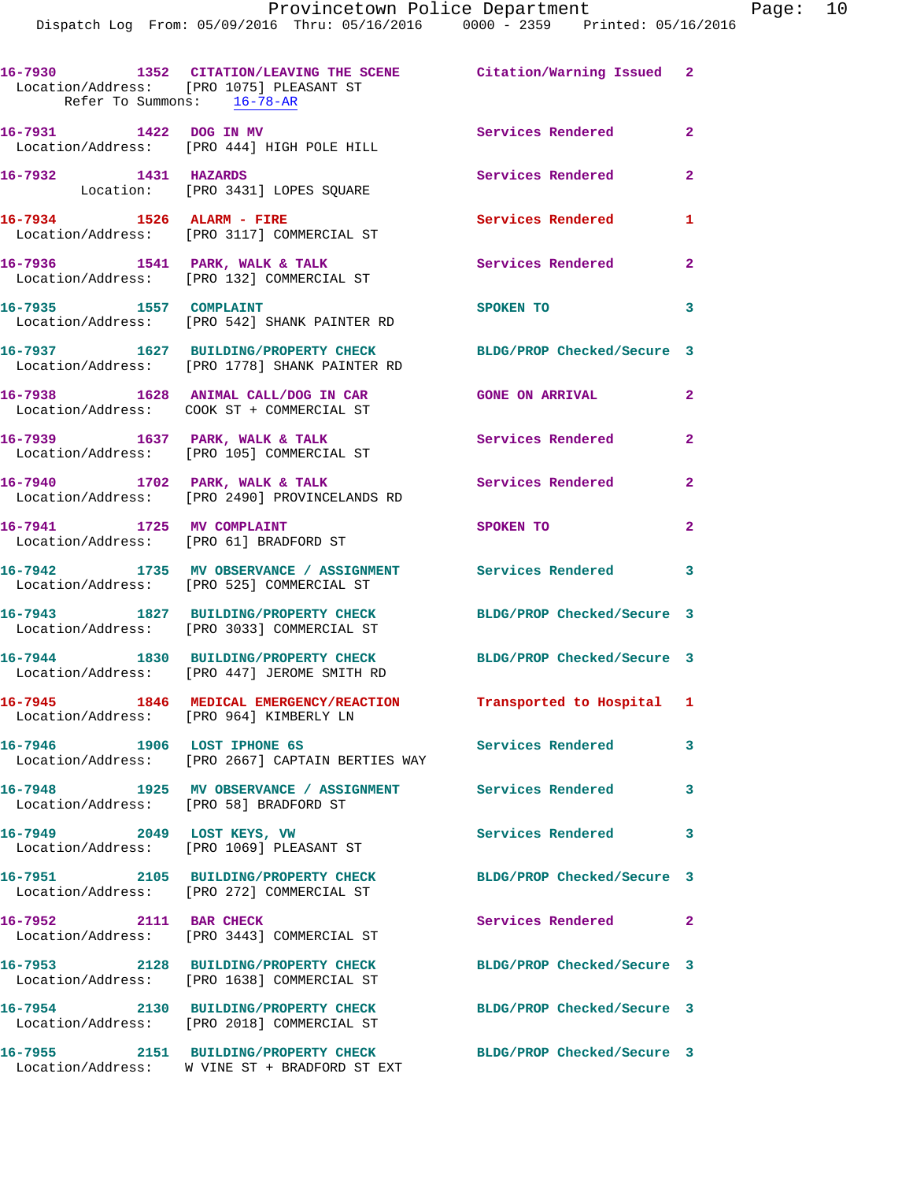| Refer To Summons: 16-78-AR             | 16-7930 1352 CITATION/LEAVING THE SCENE Citation/Warning Issued 2<br>Location/Address: [PRO 1075] PLEASANT ST    |                            |                |
|----------------------------------------|------------------------------------------------------------------------------------------------------------------|----------------------------|----------------|
| 16-7931 1422 DOG IN MV                 | Location/Address: [PRO 444] HIGH POLE HILL                                                                       | Services Rendered 2        |                |
| 16-7932 1431 HAZARDS                   | Location: [PRO 3431] LOPES SQUARE                                                                                | Services Rendered          | $\overline{2}$ |
| 16-7934 1526 ALARM - FIRE              | Location/Address: [PRO 3117] COMMERCIAL ST                                                                       | Services Rendered          | 1              |
|                                        | 16-7936 1541 PARK, WALK & TALK<br>Location/Address: [PRO 132] COMMERCIAL ST                                      | <b>Services Rendered</b>   | $\overline{2}$ |
| 16-7935 1557 COMPLAINT                 | Location/Address: [PRO 542] SHANK PAINTER RD                                                                     | SPOKEN TO                  | 3              |
|                                        | 16-7937 1627 BUILDING/PROPERTY CHECK BLDG/PROP Checked/Secure 3<br>Location/Address: [PRO 1778] SHANK PAINTER RD |                            |                |
|                                        | 16-7938 1628 ANIMAL CALL/DOG IN CAR<br>Location/Address: COOK ST + COMMERCIAL ST                                 | <b>GONE ON ARRIVAL</b>     | $\mathbf{2}$   |
|                                        | 16-7939 1637 PARK, WALK & TALK<br>Location/Address: [PRO 105] COMMERCIAL ST                                      | Services Rendered          | $\mathbf{2}$   |
|                                        | 16-7940 1702 PARK, WALK & TALK<br>Location/Address: [PRO 2490] PROVINCELANDS RD                                  | <b>Services Rendered</b>   | $\mathbf{2}$   |
| 16-7941 1725 MV COMPLAINT              | Location/Address: [PRO 61] BRADFORD ST                                                                           | SPOKEN TO                  | $\overline{2}$ |
|                                        | 16-7942 1735 MV OBSERVANCE / ASSIGNMENT Services Rendered 3<br>Location/Address: [PRO 525] COMMERCIAL ST         |                            |                |
|                                        | 16-7943 1827 BUILDING/PROPERTY CHECK<br>Location/Address: [PRO 3033] COMMERCIAL ST                               | BLDG/PROP Checked/Secure 3 |                |
|                                        | 16-7944 1830 BUILDING/PROPERTY CHECK<br>Location/Address: [PRO 447] JEROME SMITH RD                              | BLDG/PROP Checked/Secure 3 |                |
|                                        | 16-7945 1846 MEDICAL EMERGENCY/REACTION Transported to Hospital 1<br>Location/Address: [PRO 964] KIMBERLY LN     |                            |                |
|                                        | 16-7946 1906 LOST IPHONE 6S<br>Location/Address: [PRO 2667] CAPTAIN BERTIES WAY                                  | <b>Services Rendered</b>   | 3              |
| Location/Address: [PRO 58] BRADFORD ST | 16-7948 1925 MV OBSERVANCE / ASSIGNMENT Services Rendered                                                        |                            | 3              |
|                                        | 16-7949 2049 LOST KEYS, VW<br>Location/Address: [PRO 1069] PLEASANT ST                                           | <b>Services Rendered</b>   | 3              |
|                                        | 16-7951 2105 BUILDING/PROPERTY CHECK<br>Location/Address: [PRO 272] COMMERCIAL ST                                | BLDG/PROP Checked/Secure 3 |                |
| 16-7952 2111 BAR CHECK                 | Location/Address: [PRO 3443] COMMERCIAL ST                                                                       | Services Rendered          | -2             |
|                                        | 16-7953 2128 BUILDING/PROPERTY CHECK<br>Location/Address: [PRO 1638] COMMERCIAL ST                               | BLDG/PROP Checked/Secure 3 |                |
|                                        | 16-7954 2130 BUILDING/PROPERTY CHECK<br>Location/Address: [PRO 2018] COMMERCIAL ST                               | BLDG/PROP Checked/Secure 3 |                |
|                                        | 16-7955 2151 BUILDING/PROPERTY CHECK<br>Location/Address: W VINE ST + BRADFORD ST EXT                            | BLDG/PROP Checked/Secure 3 |                |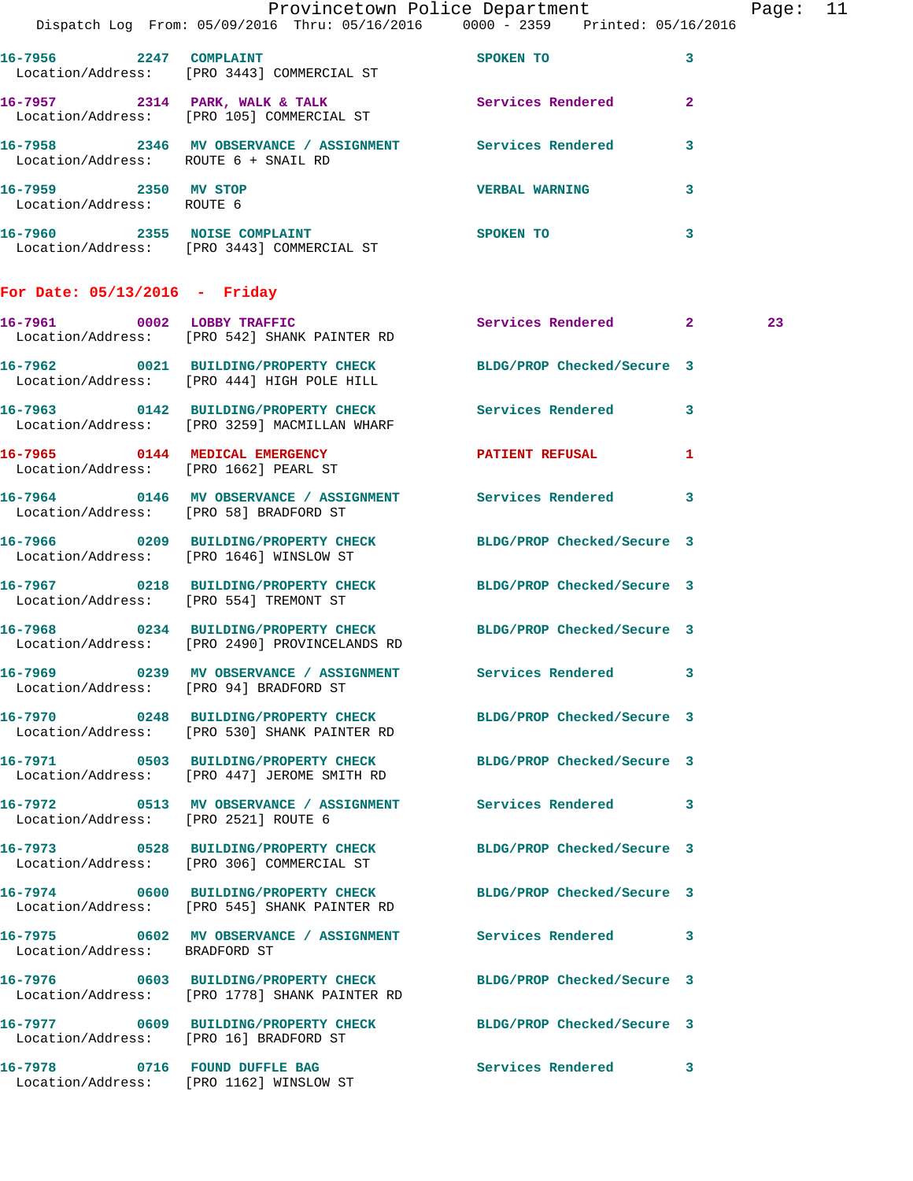|                                                   | Provincetown Police Department<br>Dispatch Log From: 05/09/2016 Thru: 05/16/2016 0000 - 2359 Printed: 05/16/2016 |                            |              | Page: 11 |  |
|---------------------------------------------------|------------------------------------------------------------------------------------------------------------------|----------------------------|--------------|----------|--|
|                                                   | 16-7956 2247 COMPLAINT                                                                                           | SPOKEN TO                  | $\mathbf{3}$ |          |  |
|                                                   | Location/Address: [PRO 3443] COMMERCIAL ST<br>16-7957 2314 PARK, WALK & TALK 2 Services Rendered 2               |                            |              |          |  |
|                                                   | Location/Address: [PRO 105] COMMERCIAL ST                                                                        |                            |              |          |  |
|                                                   | 16-7958 2346 MV OBSERVANCE / ASSIGNMENT Services Rendered 3<br>Location/Address: ROUTE 6 + SNAIL RD              |                            |              |          |  |
| 16-7959 2350 MV STOP<br>Location/Address: ROUTE 6 |                                                                                                                  | <b>VERBAL WARNING</b>      | 3            |          |  |
|                                                   | 16-7960 2355 NOISE COMPLAINT<br>Location/Address: [PRO 3443] COMMERCIAL ST                                       | SPOKEN TO                  | $\mathbf{3}$ |          |  |
| For Date: $05/13/2016$ - Friday                   |                                                                                                                  |                            |              |          |  |
|                                                   | 16-7961 0002 LOBBY TRAFFIC<br>Location/Address: [PRO 542] SHANK PAINTER RD                                       | Services Rendered 2        |              | 23       |  |
|                                                   | 16-7962 0021 BUILDING/PROPERTY CHECK BLDG/PROP Checked/Secure 3<br>Location/Address: [PRO 444] HIGH POLE HILL    |                            |              |          |  |
|                                                   | 16-7963 0142 BUILDING/PROPERTY CHECK Services Rendered 3<br>Location/Address: [PRO 3259] MACMILLAN WHARF         |                            |              |          |  |
| Location/Address: [PRO 1662] PEARL ST             | 16-7965 0144 MEDICAL EMERGENCY PATIENT REFUSAL 1                                                                 |                            |              |          |  |
| Location/Address: [PRO 58] BRADFORD ST            | 16-7964 0146 MV OBSERVANCE / ASSIGNMENT Services Rendered 3                                                      |                            |              |          |  |
|                                                   | 16-7966 0209 BUILDING/PROPERTY CHECK BLDG/PROP Checked/Secure 3<br>Location/Address: [PRO 1646] WINSLOW ST       |                            |              |          |  |
|                                                   | 16-7967 0218 BUILDING/PROPERTY CHECK BLDG/PROP Checked/Secure 3<br>Location/Address: [PRO 554] TREMONT ST        |                            |              |          |  |
|                                                   | 16-7968 0234 BUILDING/PROPERTY CHECK BLDG/PROP Checked/Secure 3<br>Location/Address: [PRO 2490] PROVINCELANDS RD |                            |              |          |  |
| Location/Address: [PRO 94] BRADFORD ST            | 16-7969 6239 MV OBSERVANCE / ASSIGNMENT Services Rendered 3                                                      |                            |              |          |  |
|                                                   | 16-7970 0248 BUILDING/PROPERTY CHECK BLDG/PROP Checked/Secure 3<br>Location/Address: [PRO 530] SHANK PAINTER RD  |                            |              |          |  |
|                                                   | 16-7971 0503 BUILDING/PROPERTY CHECK BLDG/PROP Checked/Secure 3<br>Location/Address: [PRO 447] JEROME SMITH RD   |                            |              |          |  |
| Location/Address: [PRO 2521] ROUTE 6              | 16-7972 0513 MV OBSERVANCE / ASSIGNMENT Services Rendered 3                                                      |                            |              |          |  |
|                                                   | 16-7973 0528 BUILDING/PROPERTY CHECK BLDG/PROP Checked/Secure 3<br>Location/Address: [PRO 306] COMMERCIAL ST     |                            |              |          |  |
|                                                   | 16-7974 0600 BUILDING/PROPERTY CHECK BLDG/PROP Checked/Secure 3<br>Location/Address: [PRO 545] SHANK PAINTER RD  |                            |              |          |  |
| Location/Address: BRADFORD ST                     | 16-7975 0602 MV OBSERVANCE / ASSIGNMENT Services Rendered 3                                                      |                            |              |          |  |
|                                                   | 16-7976 0603 BUILDING/PROPERTY CHECK<br>Location/Address: [PRO 1778] SHANK PAINTER RD                            | BLDG/PROP Checked/Secure 3 |              |          |  |
|                                                   | 16-7977 0609 BUILDING/PROPERTY CHECK BLDG/PROP Checked/Secure 3<br>Location/Address: [PRO 16] BRADFORD ST        |                            |              |          |  |
|                                                   | 16-7978 0716 FOUND DUFFLE BAG<br>Location/Address: [PRO 1162] WINSLOW ST                                         | Services Rendered 3        |              |          |  |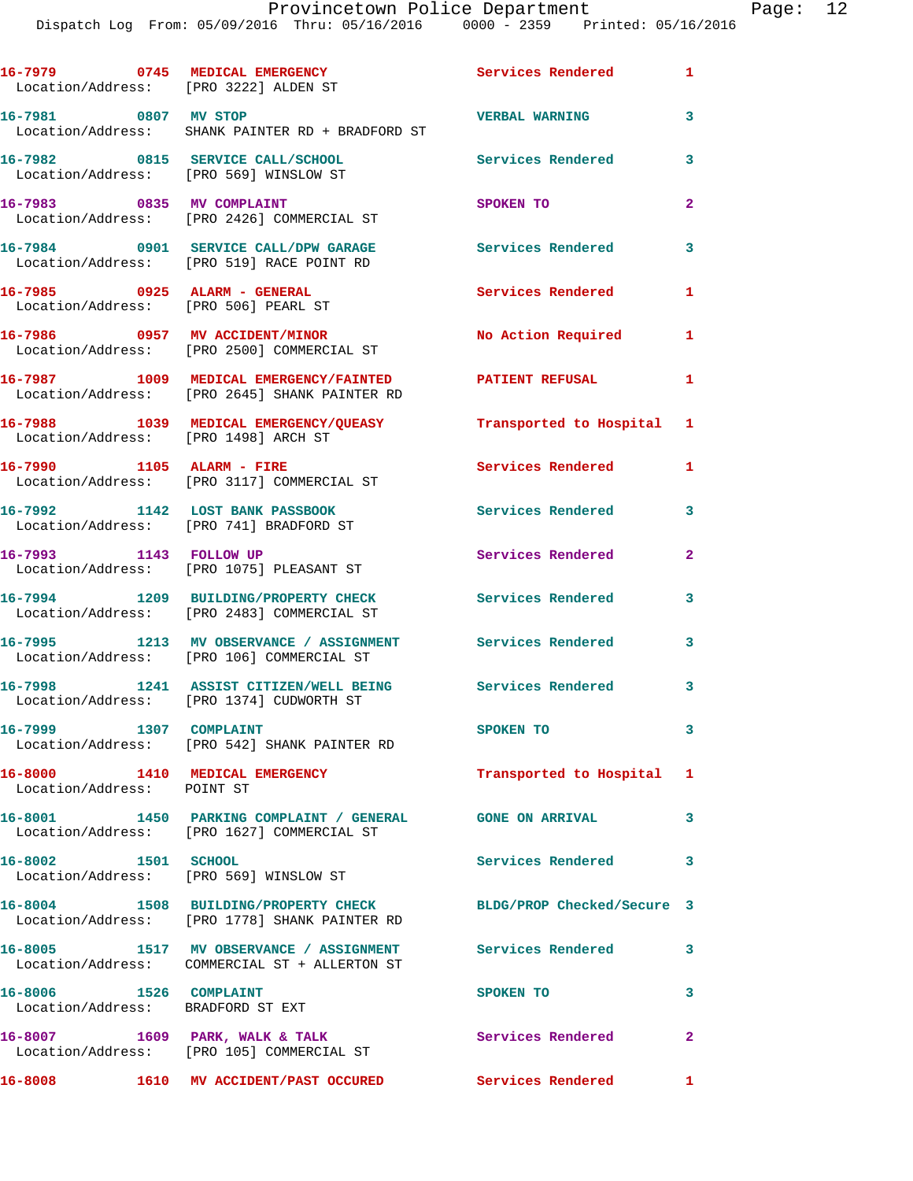|                                                             | 16-7979 0745 MEDICAL EMERGENCY<br>Location/Address: [PRO 3222] ALDEN ST                                    | Services Rendered 1        |                |
|-------------------------------------------------------------|------------------------------------------------------------------------------------------------------------|----------------------------|----------------|
| 16-7981 0807 MV STOP                                        | Location/Address: SHANK PAINTER RD + BRADFORD ST                                                           | <b>VERBAL WARNING</b>      | 3              |
|                                                             | 16-7982 0815 SERVICE CALL/SCHOOL<br>Location/Address: [PRO 569] WINSLOW ST                                 | Services Rendered          | 3              |
| 16-7983 0835 MV COMPLAINT                                   | Location/Address: [PRO 2426] COMMERCIAL ST                                                                 | SPOKEN TO                  | $\overline{a}$ |
|                                                             | 16-7984 0901 SERVICE CALL/DPW GARAGE<br>Location/Address: [PRO 519] RACE POINT RD                          | Services Rendered          | 3              |
|                                                             | 16-7985 0925 ALARM - GENERAL<br>Location/Address: [PRO 506] PEARL ST                                       | <b>Services Rendered</b>   | 1              |
|                                                             | 16-7986 0957 MV ACCIDENT/MINOR<br>Location/Address: [PRO 2500] COMMERCIAL ST                               | No Action Required         | 1              |
|                                                             | 16-7987 1009 MEDICAL EMERGENCY/FAINTED<br>Location/Address: [PRO 2645] SHANK PAINTER RD                    | <b>PATIENT REFUSAL</b>     | 1              |
|                                                             | 16-7988 1039 MEDICAL EMERGENCY/QUEASY Transported to Hospital 1<br>Location/Address: [PRO 1498] ARCH ST    |                            |                |
| 16-7990 1105 ALARM - FIRE                                   | Location/Address: [PRO 3117] COMMERCIAL ST                                                                 | Services Rendered          | 1              |
|                                                             | 16-7992 1142 LOST BANK PASSBOOK<br>Location/Address: [PRO 741] BRADFORD ST                                 | <b>Services Rendered</b>   | 3              |
|                                                             | 16-7993 1143 FOLLOW UP<br>Location/Address: [PRO 1075] PLEASANT ST                                         | Services Rendered          | $\mathbf{2}$   |
|                                                             | 16-7994 1209 BUILDING/PROPERTY CHECK<br>Location/Address: [PRO 2483] COMMERCIAL ST                         | Services Rendered          | 3              |
|                                                             | 16-7995 1213 MV OBSERVANCE / ASSIGNMENT<br>Location/Address: [PRO 106] COMMERCIAL ST                       | Services Rendered          | 3              |
|                                                             | 16-7998 1241 ASSIST CITIZEN/WELL BEING<br>Location/Address: [PRO 1374] CUDWORTH ST                         | Services Rendered          | 3              |
| 16-7999 1307 COMPLAINT                                      | Location/Address: [PRO 542] SHANK PAINTER RD                                                               | <b>SPOKEN TO</b>           | 3              |
| Location/Address: POINT ST                                  | 16-8000 1410 MEDICAL EMERGENCY                                                                             | Transported to Hospital 1  |                |
|                                                             | 16-8001 1450 PARKING COMPLAINT / GENERAL GONE ON ARRIVAL<br>Location/Address: [PRO 1627] COMMERCIAL ST     |                            | 3              |
| 16-8002 1501 SCHOOL                                         | Location/Address: [PRO 569] WINSLOW ST                                                                     | Services Rendered 3        |                |
|                                                             | 16-8004 1508 BUILDING/PROPERTY CHECK<br>Location/Address: [PRO 1778] SHANK PAINTER RD                      | BLDG/PROP Checked/Secure 3 |                |
|                                                             | 16-8005 1517 MV OBSERVANCE / ASSIGNMENT Services Rendered<br>Location/Address: COMMERCIAL ST + ALLERTON ST |                            | 3              |
| 16-8006 1526 COMPLAINT<br>Location/Address: BRADFORD ST EXT |                                                                                                            | SPOKEN TO                  | 3              |
|                                                             | 16-8007 1609 PARK, WALK & TALK<br>Location/Address: [PRO 105] COMMERCIAL ST                                | Services Rendered          | $\mathbf{2}$   |
| 16-8008                                                     | 1610 MV ACCIDENT/PAST OCCURED                                                                              | Services Rendered          | $\mathbf{1}$   |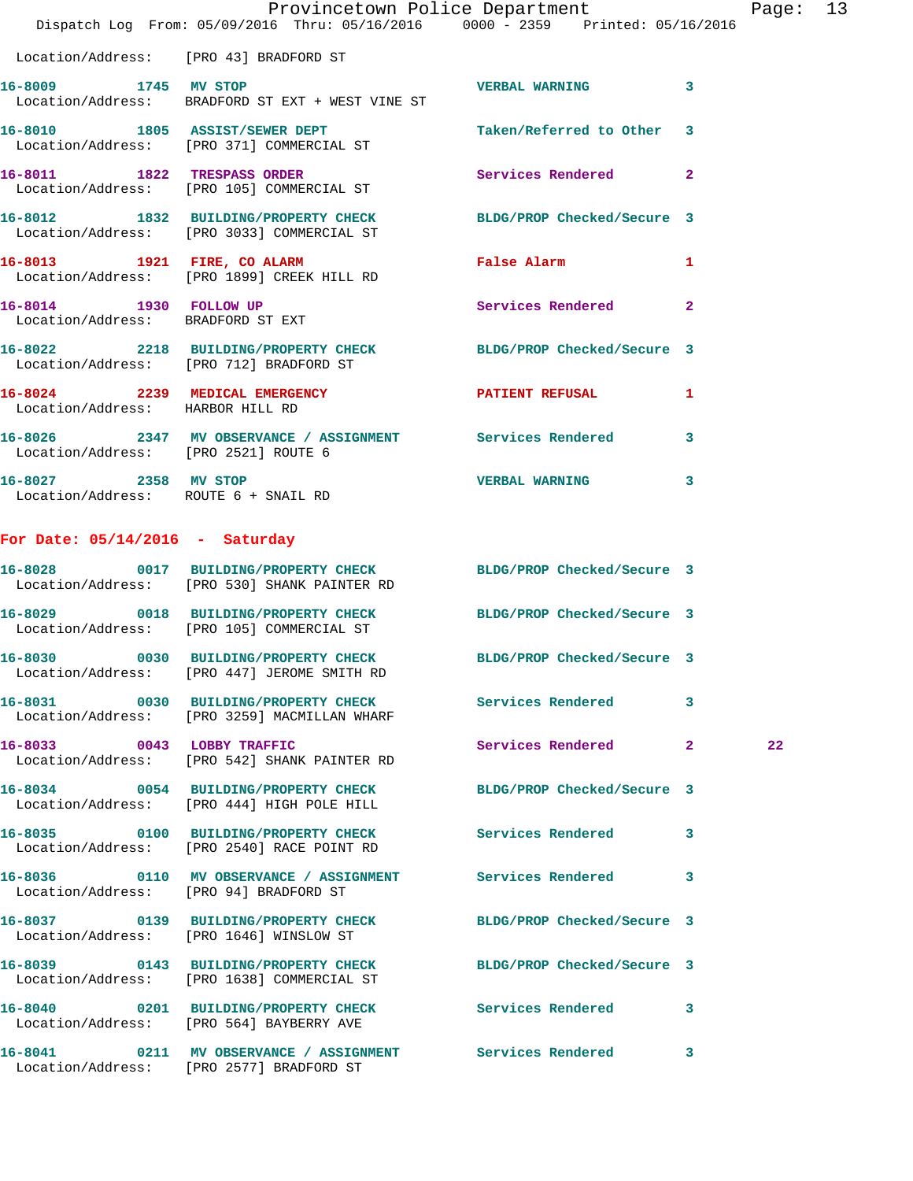|                                      |                                                                                                                 | Provincetown Police Department |              | Page: 13 |  |
|--------------------------------------|-----------------------------------------------------------------------------------------------------------------|--------------------------------|--------------|----------|--|
|                                      | Dispatch Log From: 05/09/2016 Thru: 05/16/2016 0000 - 2359 Printed: 05/16/2016                                  |                                |              |          |  |
|                                      | Location/Address: [PRO 43] BRADFORD ST                                                                          |                                |              |          |  |
| 16-8009 1745 MV STOP                 | Location/Address: BRADFORD ST EXT + WEST VINE ST                                                                | <b>VERBAL WARNING</b> 3        |              |          |  |
|                                      | 16-8010 1805 ASSIST/SEWER DEPT<br>Location/Address: [PRO 371] COMMERCIAL ST                                     | Taken/Referred to Other 3      |              |          |  |
|                                      | 16-8011 1822 TRESPASS ORDER<br>Location/Address: [PRO 105] COMMERCIAL ST                                        | Services Rendered              | $\mathbf{2}$ |          |  |
|                                      | 16-8012 1832 BUILDING/PROPERTY CHECK BLDG/PROP Checked/Secure 3<br>Location/Address: [PRO 3033] COMMERCIAL ST   |                                |              |          |  |
|                                      | 16-8013 1921 FIRE, CO ALARM<br>Location/Address: [PRO 1899] CREEK HILL RD                                       | False Alarm                    | 1            |          |  |
|                                      | 16-8014 1930 FOLLOW UP<br>Location/Address: BRADFORD ST EXT                                                     | Services Rendered 2            |              |          |  |
|                                      | 16-8022 2218 BUILDING/PROPERTY CHECK BLDG/PROP Checked/Secure 3<br>Location/Address: [PRO 712] BRADFORD ST      |                                |              |          |  |
| Location/Address: HARBOR HILL RD     | 16-8024 2239 MEDICAL EMERGENCY PATIENT REFUSAL 1                                                                |                                |              |          |  |
| Location/Address: [PRO 2521] ROUTE 6 | 16-8026 2347 MV OBSERVANCE / ASSIGNMENT Services Rendered 3                                                     |                                |              |          |  |
| 16-8027 2358 MV STOP                 | Location/Address: ROUTE 6 + SNAIL RD                                                                            | VERBAL WARNING 3               |              |          |  |
| For Date: $05/14/2016$ - Saturday    |                                                                                                                 |                                |              |          |  |
|                                      | 16-8028 0017 BUILDING/PROPERTY CHECK BLDG/PROP Checked/Secure 3<br>Location/Address: [PRO 530] SHANK PAINTER RD |                                |              |          |  |
|                                      | 16-8029 0018 BUILDING/PROPERTY CHECK BLDG/PROP Checked/Secure 3<br>Location/Address: [PRO 105] COMMERCIAL ST    |                                |              |          |  |
|                                      | 16-8030 0030 BUILDING/PROPERTY CHECK<br>Location/Address: [PRO 447] JEROME SMITH RD                             | BLDG/PROP Checked/Secure 3     |              |          |  |
|                                      | 16-8031 0030 BUILDING/PROPERTY CHECK<br>Location/Address: [PRO 3259] MACMILLAN WHARF                            | Services Rendered              | 3            |          |  |
| 16-8033 0043 LOBBY TRAFFIC           | Location/Address: [PRO 542] SHANK PAINTER RD                                                                    | Services Rendered 2            |              | 22       |  |
|                                      | 16-8034 0054 BUILDING/PROPERTY CHECK BLDG/PROP Checked/Secure 3<br>Location/Address: [PRO 444] HIGH POLE HILL   |                                |              |          |  |
|                                      | 16-8035 0100 BUILDING/PROPERTY CHECK Services Rendered 3<br>Location/Address: [PRO 2540] RACE POINT RD          |                                |              |          |  |
|                                      | 16-8036 0110 MV OBSERVANCE / ASSIGNMENT Services Rendered<br>Location/Address: [PRO 94] BRADFORD ST             |                                | 3            |          |  |
|                                      | 16-8037 0139 BUILDING/PROPERTY CHECK BLDG/PROP Checked/Secure 3<br>Location/Address: [PRO 1646] WINSLOW ST      |                                |              |          |  |
|                                      | 16-8039 0143 BUILDING/PROPERTY CHECK<br>Location/Address: [PRO 1638] COMMERCIAL ST                              | BLDG/PROP Checked/Secure 3     |              |          |  |
|                                      | 16-8040 0201 BUILDING/PROPERTY CHECK Services Rendered 3<br>Location/Address: [PRO 564] BAYBERRY AVE            |                                |              |          |  |
|                                      | 16-8041 0211 MV OBSERVANCE / ASSIGNMENT Services Rendered 3                                                     |                                |              |          |  |

Location/Address: [PRO 2577] BRADFORD ST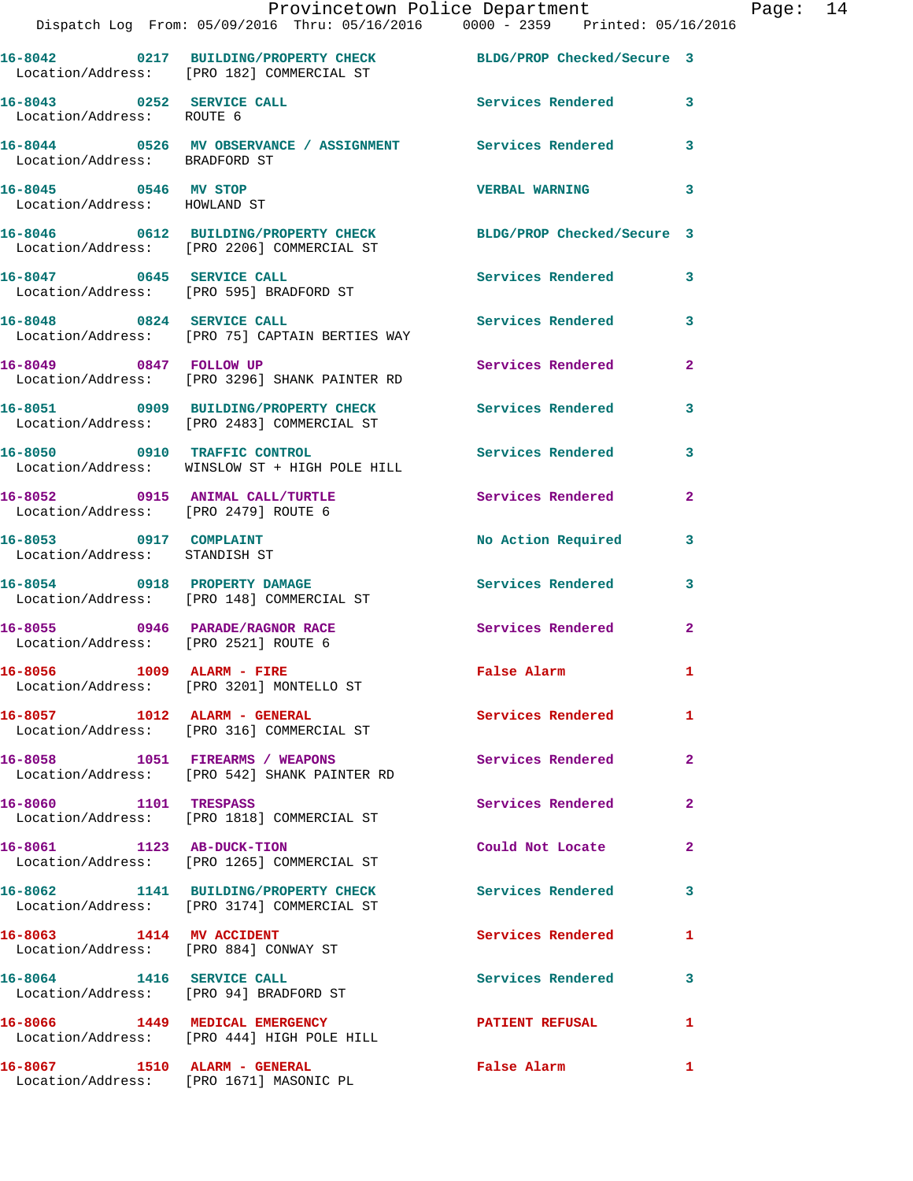|                                                         | Provincetown Police Department Fage: 14<br>Dispatch Log From: 05/09/2016 Thru: 05/16/2016 0000 - 2359 Printed: 05/16/2016 |                                                                                                                |                |  |
|---------------------------------------------------------|---------------------------------------------------------------------------------------------------------------------------|----------------------------------------------------------------------------------------------------------------|----------------|--|
|                                                         | 16-8042 0217 BUILDING/PROPERTY CHECK BLDG/PROP Checked/Secure 3<br>Location/Address: [PRO 182] COMMERCIAL ST              |                                                                                                                |                |  |
| Location/Address: ROUTE 6                               | 16-8043 0252 SERVICE CALL                                                                                                 | Services Rendered 3                                                                                            |                |  |
| Location/Address: BRADFORD ST                           | 16-8044 0526 MV OBSERVANCE / ASSIGNMENT Services Rendered 3                                                               |                                                                                                                |                |  |
| 16-8045 0546 MV STOP<br>Location/Address: HOWLAND ST    |                                                                                                                           | <b>VERBAL WARNING</b>                                                                                          | 3              |  |
|                                                         | 16-8046 0612 BUILDING/PROPERTY CHECK BLDG/PROP Checked/Secure 3<br>Location/Address: [PRO 2206] COMMERCIAL ST             |                                                                                                                |                |  |
|                                                         | 16-8047 0645 SERVICE CALL<br>Location/Address: [PRO 595] BRADFORD ST                                                      | <b>Services Rendered</b>                                                                                       | $\mathbf{3}$   |  |
|                                                         | 16-8048 0824 SERVICE CALL<br>Location/Address: [PRO 75] CAPTAIN BERTIES WAY                                               | Services Rendered 3                                                                                            |                |  |
|                                                         | 16-8049 0847 FOLLOW UP<br>Location/Address: [PRO 3296] SHANK PAINTER RD                                                   | Services Rendered                                                                                              | $\overline{2}$ |  |
|                                                         | 16-8051 0909 BUILDING/PROPERTY CHECK Services Rendered 3<br>Location/Address: [PRO 2483] COMMERCIAL ST                    |                                                                                                                |                |  |
|                                                         | 16-8050 0910 TRAFFIC CONTROL<br>Location/Address: WINSLOW ST + HIGH POLE HILL                                             | Services Rendered                                                                                              | 3              |  |
|                                                         | 16-8052 0915 ANIMAL CALL/TURTLE Services Rendered<br>Location/Address: [PRO 2479] ROUTE 6                                 |                                                                                                                | $\mathbf{2}$   |  |
| 16-8053 0917 COMPLAINT<br>Location/Address: STANDISH ST |                                                                                                                           | No Action Required                                                                                             | 3              |  |
|                                                         | 16-8054 0918 PROPERTY DAMAGE<br>Location/Address: [PRO 148] COMMERCIAL ST                                                 | Services Rendered 3                                                                                            |                |  |
| Location/Address: [PRO 2521] ROUTE 6                    | 16-8055 0946 PARADE/RAGNOR RACE                                                                                           | Services Rendered                                                                                              | $\mathbf{2}$   |  |
|                                                         | 16-8056 1009 ALARM - FIRE<br>Location/Address: [PRO 3201] MONTELLO ST                                                     | False Alarm                                                                                                    |                |  |
|                                                         | 16-8057 1012 ALARM - GENERAL<br>Location/Address: [PRO 316] COMMERCIAL ST                                                 | Services Rendered                                                                                              | $\mathbf{1}$   |  |
|                                                         | 16-8058 1051 FIREARMS / WEAPONS<br>Location/Address: [PRO 542] SHANK PAINTER RD                                           | <b>Services Rendered</b>                                                                                       | $\mathbf{2}$   |  |
| 16-8060 1101 TRESPASS                                   | Location/Address: [PRO 1818] COMMERCIAL ST                                                                                | Services Rendered                                                                                              | $\mathbf{2}$   |  |
| 16-8061 1123 AB-DUCK-TION                               | Location/Address: [PRO 1265] COMMERCIAL ST                                                                                | Could Not Locate                                                                                               | $\mathbf{2}$   |  |
|                                                         | 16-8062 1141 BUILDING/PROPERTY CHECK<br>Location/Address: [PRO 3174] COMMERCIAL ST                                        | Services Rendered                                                                                              | 3              |  |
| 16-8063 1414 MV ACCIDENT                                | Location/Address: [PRO 884] CONWAY ST                                                                                     | Services Rendered                                                                                              | 1              |  |
|                                                         | 16-8064 1416 SERVICE CALL<br>Location/Address: [PRO 94] BRADFORD ST                                                       | Services Rendered                                                                                              | 3              |  |
|                                                         | 16-8066 1449 MEDICAL EMERGENCY<br>Location/Address: [PRO 444] HIGH POLE HILL                                              | <b>PATIENT REFUSAL</b>                                                                                         | 1              |  |
|                                                         |                                                                                                                           | False Alarm and the state of the state of the state of the state of the state of the state of the state of the | $\mathbf{1}$   |  |

Location/Address: [PRO 1671] MASONIC PL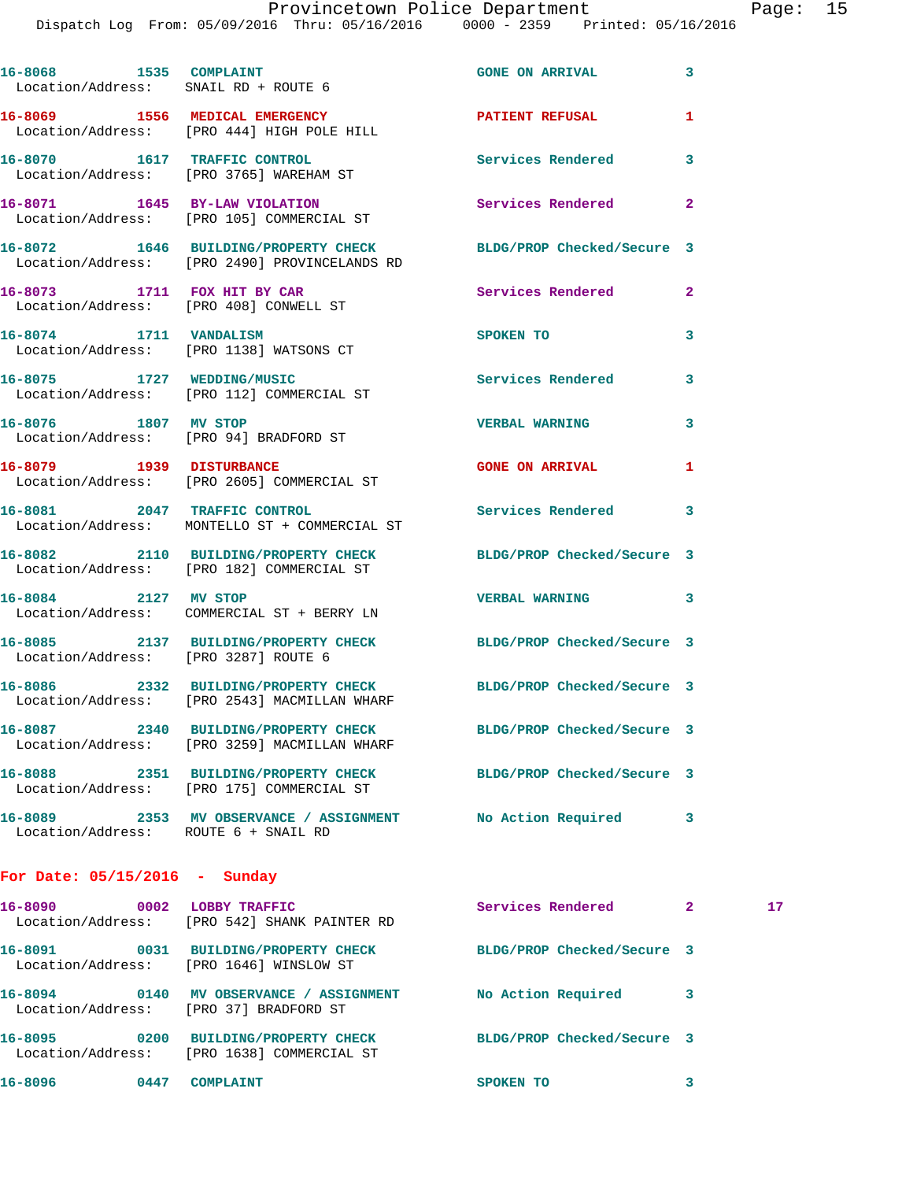|                                 | 16-8068 1535 COMPLAINT<br>Location/Address: SNAIL RD + ROUTE 6                                               | <b>GONE ON ARRIVAL</b>     | 3            |    |
|---------------------------------|--------------------------------------------------------------------------------------------------------------|----------------------------|--------------|----|
|                                 | 16-8069 1556 MEDICAL EMERGENCY<br>Location/Address: [PRO 444] HIGH POLE HILL                                 | PATIENT REFUSAL            | 1            |    |
|                                 | 16-8070 1617 TRAFFIC CONTROL<br>Location/Address: [PRO 3765] WAREHAM ST                                      | Services Rendered          | 3            |    |
|                                 | 16-8071 1645 BY-LAW VIOLATION<br>Location/Address: [PRO 105] COMMERCIAL ST                                   | <b>Services Rendered</b>   | 2            |    |
|                                 | 16-8072 1646 BUILDING/PROPERTY CHECK<br>Location/Address: [PRO 2490] PROVINCELANDS RD                        | BLDG/PROP Checked/Secure 3 |              |    |
|                                 | 16-8073 1711 FOX HIT BY CAR<br>Location/Address: [PRO 408] CONWELL ST                                        | <b>Services Rendered</b>   | $\mathbf{2}$ |    |
|                                 | 16-8074 1711 VANDALISM<br>Location/Address: [PRO 1138] WATSONS CT                                            | SPOKEN TO                  | 3            |    |
|                                 | 16-8075 1727 WEDDING/MUSIC<br>Location/Address: [PRO 112] COMMERCIAL ST                                      | Services Rendered          | 3            |    |
| 16-8076 1807 MV STOP            | Location/Address: [PRO 94] BRADFORD ST                                                                       | <b>VERBAL WARNING</b>      | 3            |    |
|                                 | 16-8079 1939 DISTURBANCE<br>Location/Address: [PRO 2605] COMMERCIAL ST                                       | <b>GONE ON ARRIVAL</b>     | 1            |    |
|                                 | 16-8081 2047 TRAFFIC CONTROL<br>Location/Address: MONTELLO ST + COMMERCIAL ST                                | Services Rendered 3        |              |    |
|                                 | 16-8082 2110 BUILDING/PROPERTY CHECK BLDG/PROP Checked/Secure 3<br>Location/Address: [PRO 182] COMMERCIAL ST |                            |              |    |
| 16-8084 2127 MV STOP            | Location/Address: COMMERCIAL ST + BERRY LN                                                                   | VERBAL WARNING 3           |              |    |
|                                 | 16-8085 2137 BUILDING/PROPERTY CHECK<br>Location/Address: [PRO 3287] ROUTE 6                                 | BLDG/PROP Checked/Secure 3 |              |    |
|                                 | 16-8086 2332 BUILDING/PROPERTY CHECK<br>Location/Address: [PRO 2543] MACMILLAN WHARF                         | BLDG/PROP Checked/Secure 3 |              |    |
|                                 | 16-8087 2340 BUILDING/PROPERTY CHECK<br>Location/Address: [PRO 3259] MACMILLAN WHARF                         | BLDG/PROP Checked/Secure 3 |              |    |
|                                 | 16-8088 2351 BUILDING/PROPERTY CHECK<br>Location/Address: [PRO 175] COMMERCIAL ST                            | BLDG/PROP Checked/Secure 3 |              |    |
|                                 | 16-8089 2353 MV OBSERVANCE / ASSIGNMENT No Action Required<br>Location/Address: ROUTE 6 + SNAIL RD           |                            | 3            |    |
| For Date: $05/15/2016$ - Sunday |                                                                                                              |                            |              |    |
|                                 | 16-8090 0002 LOBBY TRAFFIC<br>Location/Address: [PRO 542] SHANK PAINTER RD                                   | Services Rendered 2        |              | 17 |
|                                 | 16-8091 0031 BUILDING/PROPERTY CHECK BLDG/PROP Checked/Secure 3<br>Location/Address: [PRO 1646] WINSLOW ST   |                            |              |    |
|                                 | 16-8094 0140 MV OBSERVANCE / ASSIGNMENT No Action Required<br>Location/Address: [PRO 37] BRADFORD ST         |                            | 3            |    |
| 16-8095                         | 0200 BUILDING/PROPERTY CHECK                                                                                 | BLDG/PROP Checked/Secure 3 |              |    |

Location/Address: [PRO 1638] COMMERCIAL ST

**16-8096 0447 COMPLAINT SPOKEN TO 3** 

- 
- 
-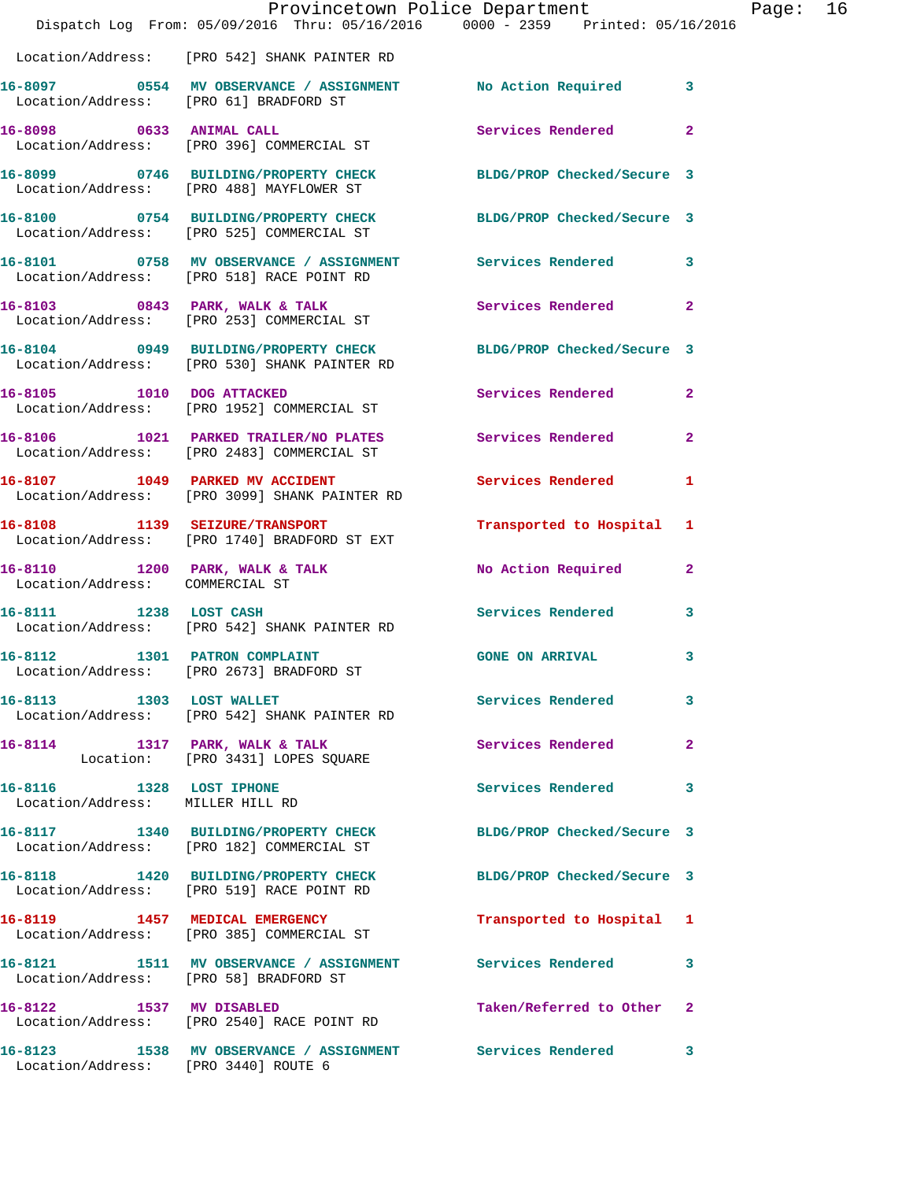|                                      | Dispatch Log From: 05/09/2016 Thru: 05/16/2016 0000 - 2359 Printed: 05/16/2016                                  | Provincetown Police Department |              | Page: $16$ |  |
|--------------------------------------|-----------------------------------------------------------------------------------------------------------------|--------------------------------|--------------|------------|--|
|                                      | Location/Address: [PRO 542] SHANK PAINTER RD                                                                    |                                |              |            |  |
|                                      |                                                                                                                 |                                |              |            |  |
|                                      | 16-8098 0633 ANIMAL CALL 2008 Services Rendered<br>Location/Address: [PRO 396] COMMERCIAL ST                    |                                | $\mathbf{2}$ |            |  |
|                                      | 16-8099 0746 BUILDING/PROPERTY CHECK BLDG/PROP Checked/Secure 3<br>Location/Address: [PRO 488] MAYFLOWER ST     |                                |              |            |  |
|                                      | 16-8100 0754 BUILDING/PROPERTY CHECK BLDG/PROP Checked/Secure 3<br>Location/Address: [PRO 525] COMMERCIAL ST    |                                |              |            |  |
|                                      | 16-8101 0758 MV OBSERVANCE / ASSIGNMENT Services Rendered 3<br>Location/Address: [PRO 518] RACE POINT RD        |                                |              |            |  |
|                                      | 16-8103 0843 PARK, WALK & TALK Services Rendered<br>Location/Address: [PRO 253] COMMERCIAL ST                   |                                | $\mathbf{2}$ |            |  |
|                                      | 16-8104 0949 BUILDING/PROPERTY CHECK BLDG/PROP Checked/Secure 3<br>Location/Address: [PRO 530] SHANK PAINTER RD |                                |              |            |  |
|                                      | 16-8105 1010 DOG ATTACKED<br>Location/Address: [PRO 1952] COMMERCIAL ST                                         | Services Rendered              | $\mathbf{2}$ |            |  |
|                                      | 16-8106 1021 PARKED TRAILER/NO PLATES Services Rendered<br>Location/Address: [PRO 2483] COMMERCIAL ST           |                                | $\mathbf{2}$ |            |  |
|                                      | 16-8107 1049 PARKED MV ACCIDENT<br>Location/Address: [PRO 3099] SHANK PAINTER RD                                | Services Rendered 1            |              |            |  |
|                                      | 16-8108 1139 SEIZURE/TRANSPORT<br>Location/Address: [PRO 1740] BRADFORD ST EXT                                  | Transported to Hospital 1      |              |            |  |
| Location/Address: COMMERCIAL ST      | 16-8110 1200 PARK, WALK & TALK 1999 No Action Required 2                                                        |                                |              |            |  |
|                                      | 16-8111 1238 LOST CASH<br>Location/Address: [PRO 542] SHANK PAINTER RD                                          | <b>Services Rendered</b>       | 3            |            |  |
|                                      | 16-8112 1301 PATRON COMPLAINT<br>Location/Address: [PRO 2673] BRADFORD ST                                       | <b>GONE ON ARRIVAL</b>         | 3            |            |  |
| 16-8113 1303 LOST WALLET             | Location/Address: [PRO 542] SHANK PAINTER RD                                                                    | <b>Services Rendered</b>       | $\mathbf{3}$ |            |  |
|                                      | 16-8114 1317 PARK, WALK & TALK 1997 Services Rendered<br>Location: [PRO 3431] LOPES SQUARE                      |                                | $\mathbf{2}$ |            |  |
| 16-8116 1328 LOST IPHONE             | Location/Address: MILLER HILL RD                                                                                | Services Rendered 3            |              |            |  |
|                                      | 16-8117 1340 BUILDING/PROPERTY CHECK BLDG/PROP Checked/Secure 3<br>Location/Address: [PRO 182] COMMERCIAL ST    |                                |              |            |  |
|                                      | 16-8118 1420 BUILDING/PROPERTY CHECK BLDG/PROP Checked/Secure 3<br>Location/Address: [PRO 519] RACE POINT RD    |                                |              |            |  |
|                                      | 16-8119 1457 MEDICAL EMERGENCY<br>Location/Address: [PRO 385] COMMERCIAL ST                                     | Transported to Hospital 1      |              |            |  |
|                                      | 16-8121 1511 MV OBSERVANCE / ASSIGNMENT Services Rendered 3<br>Location/Address: [PRO 58] BRADFORD ST           |                                |              |            |  |
|                                      | 16-8122 1537 MV DISABLED<br>Location/Address: [PRO 2540] RACE POINT RD                                          | Taken/Referred to Other 2      |              |            |  |
| Location/Address: [PRO 3440] ROUTE 6 | 16-8123 1538 MV OBSERVANCE / ASSIGNMENT Services Rendered                                                       |                                | 3            |            |  |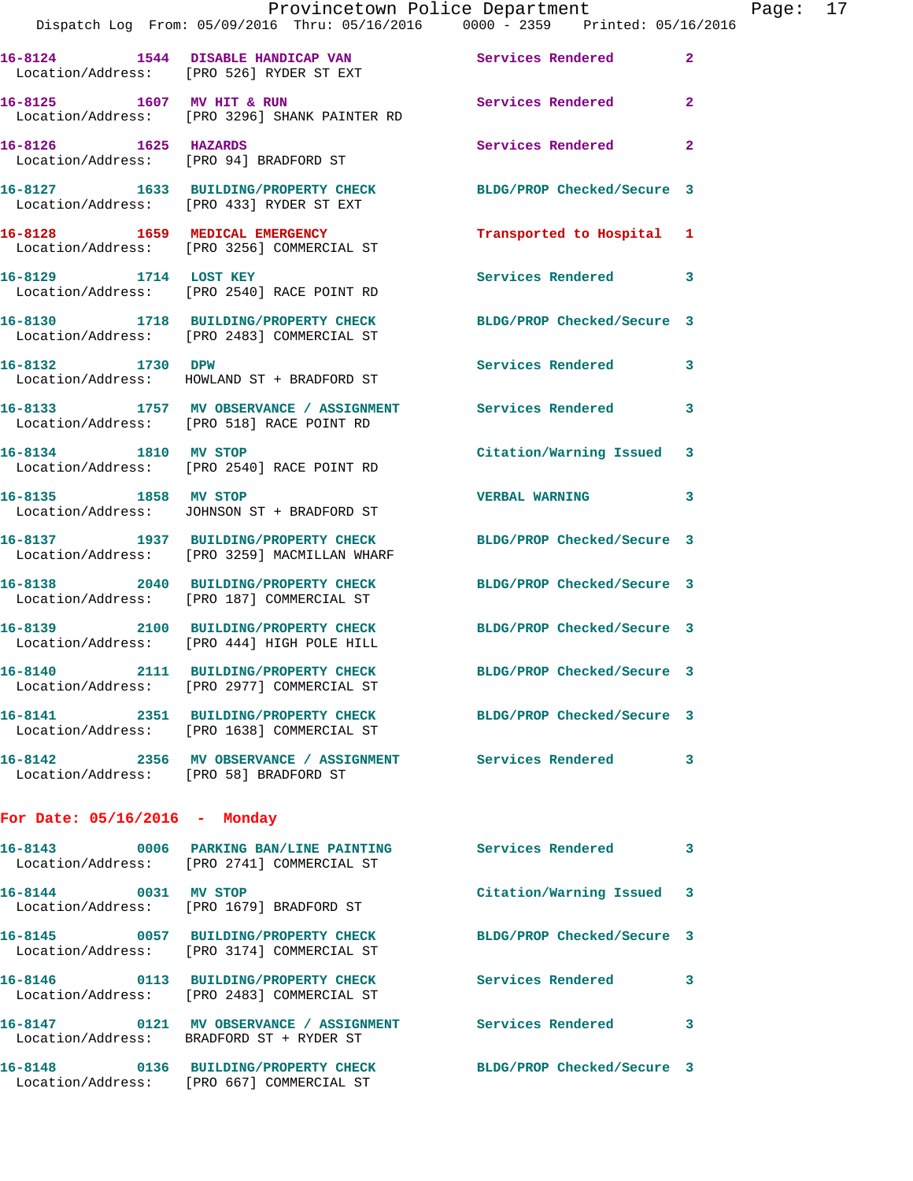|                                        | Provincetown Police Department<br>Dispatch Log From: 05/09/2016 Thru: 05/16/2016 0000 - 2359 Printed: 05/16/2016 |                            |                |
|----------------------------------------|------------------------------------------------------------------------------------------------------------------|----------------------------|----------------|
|                                        | 16-8124 1544 DISABLE HANDICAP VAN Services Rendered<br>Location/Address: [PRO 526] RYDER ST EXT                  |                            | $\overline{2}$ |
|                                        | 16-8125 1607 MV HIT & RUN<br>Location/Address: [PRO 3296] SHANK PAINTER RD                                       | <b>Services Rendered</b>   | $\overline{a}$ |
| 16-8126 1625 HAZARDS                   | Location/Address: [PRO 94] BRADFORD ST                                                                           | Services Rendered          | $\mathbf{2}$   |
|                                        | 16-8127 1633 BUILDING/PROPERTY CHECK<br>Location/Address: [PRO 433] RYDER ST EXT                                 | BLDG/PROP Checked/Secure 3 |                |
|                                        | 16-8128 1659 MEDICAL EMERGENCY<br>Location/Address: [PRO 3256] COMMERCIAL ST                                     | Transported to Hospital 1  |                |
| 16-8129 1714 LOST KEY                  | Location/Address: [PRO 2540] RACE POINT RD                                                                       | <b>Services Rendered</b>   | 3              |
|                                        | 16-8130 1718 BUILDING/PROPERTY CHECK<br>Location/Address: [PRO 2483] COMMERCIAL ST                               | BLDG/PROP Checked/Secure 3 |                |
| 16-8132 1730 DPW                       | Location/Address: HOWLAND ST + BRADFORD ST                                                                       | <b>Services Rendered</b>   | 3              |
|                                        | 16-8133 1757 MV OBSERVANCE / ASSIGNMENT Services Rendered<br>Location/Address: [PRO 518] RACE POINT RD           |                            | 3              |
| 16-8134 1810 MV STOP                   | Location/Address: [PRO 2540] RACE POINT RD                                                                       | Citation/Warning Issued    | 3              |
| 16-8135 1858 MV STOP                   | Location/Address: JOHNSON ST + BRADFORD ST                                                                       | <b>VERBAL WARNING</b>      | 3              |
|                                        | 16-8137 1937 BUILDING/PROPERTY CHECK BLDG/PROP Checked/Secure 3<br>Location/Address: [PRO 3259] MACMILLAN WHARF  |                            |                |
|                                        | 16-8138 2040 BUILDING/PROPERTY CHECK<br>Location/Address: [PRO 187] COMMERCIAL ST                                | BLDG/PROP Checked/Secure 3 |                |
|                                        | 16-8139 2100 BUILDING/PROPERTY CHECK<br>Location/Address: [PRO 444] HIGH POLE HILL                               | BLDG/PROP Checked/Secure 3 |                |
| $16 - 8140$                            | 2111 BUILDING/PROPERTY CHECK<br>Location/Address: [PRO 2977] COMMERCIAL ST                                       | BLDG/PROP Checked/Secure 3 |                |
|                                        | 16-8141 2351 BUILDING/PROPERTY CHECK<br>Location/Address: [PRO 1638] COMMERCIAL ST                               | BLDG/PROP Checked/Secure 3 |                |
| Location/Address: [PRO 58] BRADFORD ST | 16-8142 2356 MV OBSERVANCE / ASSIGNMENT                                                                          | <b>Services Rendered</b>   | 3.             |
| For Date: $05/16/2016$ - Monday        |                                                                                                                  |                            |                |
|                                        | Location/Address: [PRO 2741] COMMERCIAL ST                                                                       | Services Rendered          | 3              |
| 16-8144                                | 0031 MV STOP<br>Location/Address: [PRO 1679] BRADFORD ST                                                         | Citation/Warning Issued    | 3              |

**16-8145 0057 BUILDING/PROPERTY CHECK BLDG/PROP Checked/Secure 3**  Location/Address: [PRO 3174] COMMERCIAL ST **16-8146 0113 BUILDING/PROPERTY CHECK Services Rendered 3** 

Location/Address: [PRO 2483] COMMERCIAL ST

Location/Address: BRADFORD ST + RYDER ST

**16-8148 0136 BUILDING/PROPERTY CHECK BLDG/PROP Checked/Secure 3**  Location/Address: [PRO 667] COMMERCIAL ST

**16-8147 0121 MV OBSERVANCE / ASSIGNMENT Services Rendered 3** 

Page: 17<br><sup>016</sup>